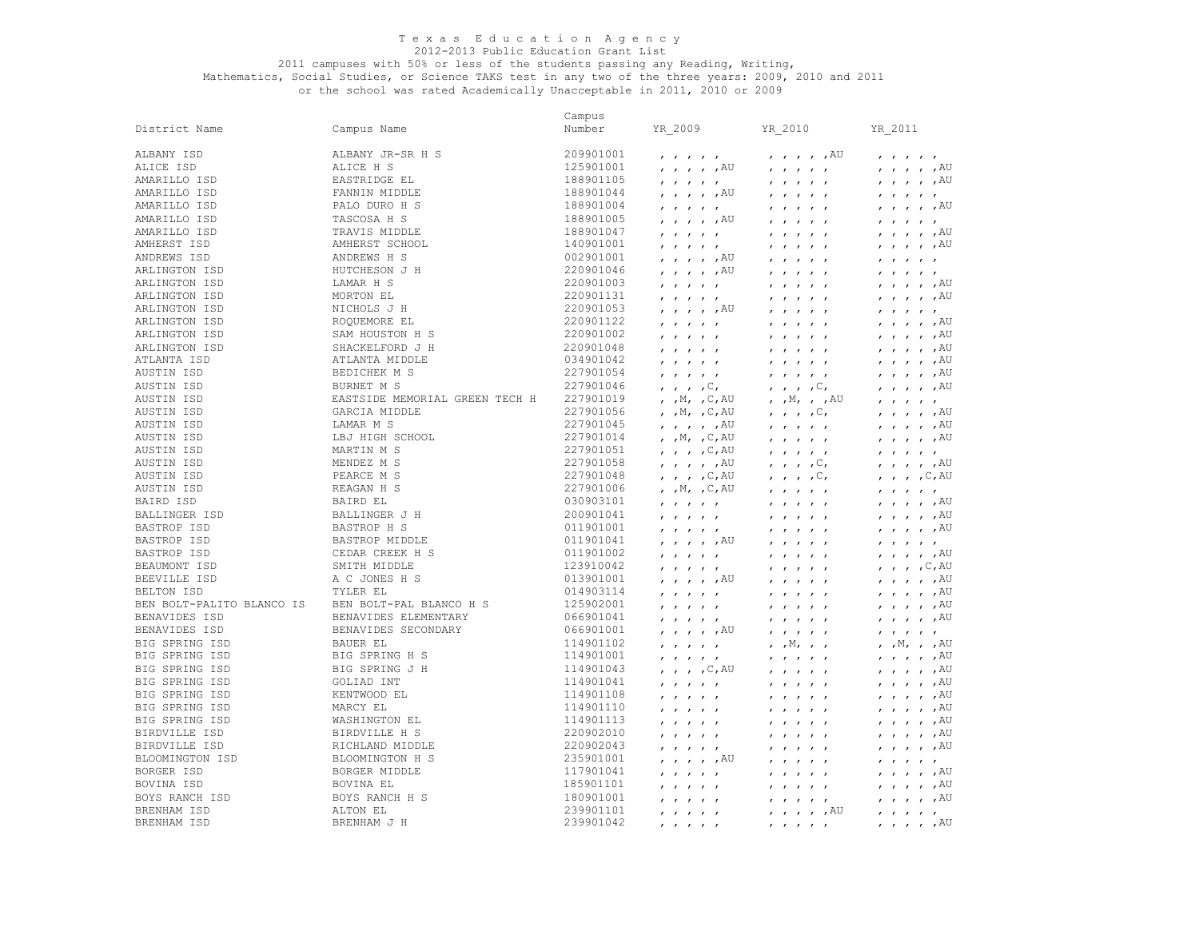## 2011 campuses with 50% or less of the students passing any Reading, Writing,

|                           |                                | Campus    |                                                                  |                                                                  |                                                                                                        |
|---------------------------|--------------------------------|-----------|------------------------------------------------------------------|------------------------------------------------------------------|--------------------------------------------------------------------------------------------------------|
| District Name             | Campus Name                    | Number    | YR 2009                                                          | YR 2010                                                          | YR 2011                                                                                                |
| ALBANY ISD                | ALBANY JR-SR H S               | 209901001 | $\mathbf{r}$ $\mathbf{r}$ $\mathbf{r}$ $\mathbf{r}$              | $, \, , \, , \, , \, ,$ $\mathbb{A} \mathbb{U}$                  | $\mathbf{r}$ $\mathbf{r}$ $\mathbf{r}$ $\mathbf{r}$ $\mathbf{r}$                                       |
| ALICE ISD                 | ALICE H S                      | 125901001 | $, \, , \, , \, , \, ,$ $\mathbb{A} \mathbb{U}$                  | $\mathbf{r}$ $\mathbf{r}$ $\mathbf{r}$ $\mathbf{r}$              | $, \, , \, , \, , \, ,$ $\mathbb{A} \mathbb{U}$                                                        |
| AMARILLO ISD              | EASTRIDGE EL                   | 188901105 | $\mathbf{r}$ $\mathbf{r}$ $\mathbf{r}$ $\mathbf{r}$ $\mathbf{r}$ | $\mathbf{r}$ $\mathbf{r}$ $\mathbf{r}$ $\mathbf{r}$ $\mathbf{r}$ | , , , , , $AU$                                                                                         |
| AMARILLO ISD              | FANNIN MIDDLE                  | 188901044 | $, \, , \, , \, , \, ,$ $\mathbb{A} \mathbb{U}$                  | $\mathbf{r}$ $\mathbf{r}$ $\mathbf{r}$ $\mathbf{r}$ $\mathbf{r}$ | $\mathbf{r}$ $\mathbf{r}$ $\mathbf{r}$ $\mathbf{r}$ $\mathbf{r}$                                       |
| AMARILLO ISD              | PALO DURO H S                  | 188901004 | $\mathbf{r}$ $\mathbf{r}$ $\mathbf{r}$ $\mathbf{r}$ $\mathbf{r}$ | $\mathbf{r}$ $\mathbf{r}$ $\mathbf{r}$ $\mathbf{r}$ $\mathbf{r}$ | $, \, , \, , \, , \, ,$ $\mathbb{A} \mathbb{U}$                                                        |
| AMARILLO ISD              | TASCOSA H S                    | 188901005 | $, \, , \, , \, , \, ,$ $\mathbb{A} \mathbb{U}$                  | $\mathbf{r}$ $\mathbf{r}$ $\mathbf{r}$ $\mathbf{r}$ $\mathbf{r}$ | $\mathbf{r}$ $\mathbf{r}$ $\mathbf{r}$ $\mathbf{r}$                                                    |
| AMARILLO ISD              | TRAVIS MIDDLE                  | 188901047 | $\mathbf{r}$ $\mathbf{r}$ $\mathbf{r}$ $\mathbf{r}$              | $\mathbf{r}$ $\mathbf{r}$ $\mathbf{r}$ $\mathbf{r}$ $\mathbf{r}$ | , , , , , $AU$                                                                                         |
| AMHERST ISD               | AMHERST SCHOOL                 | 140901001 | $\mathbf{r}$ $\mathbf{r}$ $\mathbf{r}$ $\mathbf{r}$ $\mathbf{r}$ | $\mathbf{r}$ $\mathbf{r}$ $\mathbf{r}$ $\mathbf{r}$ $\mathbf{r}$ | $, , , , , , A$ U                                                                                      |
| ANDREWS ISD               | ANDREWS H S                    | 002901001 | $, \, , \, , \, , \, ,$ $\mathbb{A} \mathbb{U}$                  | $\mathbf{r}$ $\mathbf{r}$ $\mathbf{r}$ $\mathbf{r}$ $\mathbf{r}$ | $\mathbf{r}$ $\mathbf{r}$ $\mathbf{r}$ $\mathbf{r}$ $\mathbf{r}$                                       |
| ARLINGTON ISD             | HUTCHESON J H                  | 220901046 | $, \, , \, , \, , \, ,$ $\mathbb{A} \mathbb{U}$                  | $\mathbf{r}$ $\mathbf{r}$ $\mathbf{r}$ $\mathbf{r}$ $\mathbf{r}$ | $\mathbf{r}$ $\mathbf{r}$ $\mathbf{r}$ $\mathbf{r}$ $\mathbf{r}$                                       |
| ARLINGTON ISD             | LAMAR H S                      | 220901003 | $\mathbf{r}$ $\mathbf{r}$ $\mathbf{r}$ $\mathbf{r}$              | $\mathbf{r}$ $\mathbf{r}$ $\mathbf{r}$ $\mathbf{r}$ $\mathbf{r}$ | $, \, , \, , \, , \, ,$ $\mathbb{A} \mathbb{U}$                                                        |
| ARLINGTON ISD             | MORTON EL                      | 220901131 | $\mathbf{r}$ $\mathbf{r}$ $\mathbf{r}$ $\mathbf{r}$ $\mathbf{r}$ | $\mathbf{r}$ $\mathbf{r}$ $\mathbf{r}$ $\mathbf{r}$ $\mathbf{r}$ | , , , , , $AU$                                                                                         |
| ARLINGTON ISD             | NICHOLS J H                    | 220901053 | , , , , , AU                                                     | $\mathbf{r}$ $\mathbf{r}$ $\mathbf{r}$ $\mathbf{r}$ $\mathbf{r}$ | $\mathbf{r}$ $\mathbf{r}$ $\mathbf{r}$ $\mathbf{r}$                                                    |
| ARLINGTON ISD             | ROQUEMORE EL                   | 220901122 | $\mathbf{r}$ $\mathbf{r}$ $\mathbf{r}$ $\mathbf{r}$              | $\mathbf{r}$ $\mathbf{r}$ $\mathbf{r}$ $\mathbf{r}$ $\mathbf{r}$ | $, \, , \, , \, , \, ,$ $\mathbb{A} \mathbb{U}$                                                        |
| ARLINGTON ISD             | SAM HOUSTON H S                | 220901002 | $\mathbf{r}$ $\mathbf{r}$ $\mathbf{r}$ $\mathbf{r}$ $\mathbf{r}$ | $\mathbf{r}$ $\mathbf{r}$ $\mathbf{r}$ $\mathbf{r}$ $\mathbf{r}$ | $, , , , , , A$ U                                                                                      |
| ARLINGTON ISD             | SHACKELFORD J H                | 220901048 | $\mathbf{r}$ $\mathbf{r}$ $\mathbf{r}$ $\mathbf{r}$              | $\mathbf{r}$<br>$\mathbf{r}$ $\mathbf{r}$                        | $, \, , \, , \, , \, ,$ $\mathbb{A} \mathbb{U}$                                                        |
| ATLANTA ISD               | ATLANTA MIDDLE                 | 034901042 | $\mathbf{r}$ $\mathbf{r}$ $\mathbf{r}$ $\mathbf{r}$              |                                                                  | $, , , , , , A$ U                                                                                      |
| AUSTIN ISD                | BEDICHEK M S                   | 227901054 |                                                                  | $\mathbf{r}$ $\mathbf{r}$ $\mathbf{r}$ $\mathbf{r}$ $\mathbf{r}$ | , , , , , ,                                                                                            |
| AUSTIN ISD                | BURNET M S                     | 227901046 | $\mathbf{r}$ $\mathbf{r}$ $\mathbf{r}$ $\mathbf{r}$ $\mathbf{r}$ | $\mathbf{r}$ $\mathbf{r}$ $\mathbf{r}$ $\mathbf{r}$ $\mathbf{r}$ |                                                                                                        |
| AUSTIN ISD                | EASTSIDE MEMORIAL GREEN TECH H | 227901019 | $\cdot$ , $\cdot$ , $\circ$ ,<br>, $,M$ , $,C$ , $AU$            | $\cdot$ , $\cdot$ , $\circ$ ,<br>, $,M$ , , $AU$                 | $, \, , \, , \, , \, ,$ $\mathbb{A} \mathbb{U}$<br>$\mathbf{r}$ $\mathbf{r}$ $\mathbf{r}$ $\mathbf{r}$ |
| AUSTIN ISD                | GARCIA MIDDLE                  | 227901056 |                                                                  |                                                                  |                                                                                                        |
| AUSTIN ISD                | LAMAR M S                      | 227901045 | , $,M$ , $,C$ , AU                                               | $\mathbf{r}$ , $\mathbf{r}$ , $\mathbf{r}$ , $\mathbf{r}$        | $, \, , \, , \, , \, ,$ $\mathbb{A} \mathbb{U}$                                                        |
| AUSTIN ISD                | LBJ HIGH SCHOOL                | 227901014 | $\prime$ , $\prime$ , $\prime$ , $\overline{A}U$                 | $\mathbf{r}$ $\mathbf{r}$ $\mathbf{r}$ $\mathbf{r}$              | $, \, , \, , \, , \, ,$ $\mathbb{A} \mathbb{U}$                                                        |
|                           |                                |           | , $,M$ , $,C$ , AU                                               | $\mathbf{r}$ $\mathbf{r}$ $\mathbf{r}$ $\mathbf{r}$              | $\mu$ , $\mu$ , $\mu$ $\sim$                                                                           |
| AUSTIN ISD                | MARTIN M S                     | 227901051 | $, \, , \, , \, , \, , \, \mathbb{C}$ , AU                       | $\mathbf{r}$ $\mathbf{r}$ $\mathbf{r}$ $\mathbf{r}$ $\mathbf{r}$ | $\mathbf{r}$ $\mathbf{r}$ $\mathbf{r}$ $\mathbf{r}$ $\mathbf{r}$                                       |
| AUSTIN ISD                | MENDEZ M S                     | 227901058 | $\prime$ , $\prime$ , $\prime$ , $\lambda$ U                     |                                                                  | $, \, , \, , \, , \, ,$ $\mathbb{A} \cup$                                                              |
| AUSTIN ISD                | PEARCE M S                     | 227901048 | $, \, , \, , \, , \, C,$ AU                                      | $\mathbf{r}$ , $\mathbf{r}$ , $\mathbf{r}$ , $\mathbf{c}$ ,      | $\mu$ , $\mu$ , $\sim$ , $\sim$ , $\sim$                                                               |
| AUSTIN ISD                | REAGAN H S                     | 227901006 | , $,M$ , $,C$ , AU                                               | $\mathbf{r}$ $\mathbf{r}$ $\mathbf{r}$ $\mathbf{r}$ $\mathbf{r}$ | $\mathbf{r}$ $\mathbf{r}$ $\mathbf{r}$ $\mathbf{r}$ $\mathbf{r}$                                       |
| BAIRD ISD                 | <b>BAIRD EL</b>                | 030903101 | $\mathbf{r}$ $\mathbf{r}$ $\mathbf{r}$ $\mathbf{r}$              | $\mathbf{r}$ $\mathbf{r}$ $\mathbf{r}$ $\mathbf{r}$ $\mathbf{r}$ | $, \; , \; , \; , \; , \;$                                                                             |
| BALLINGER ISD             | <b>BALLINGER J H</b>           | 200901041 | $\mathbf{r}$ $\mathbf{r}$ $\mathbf{r}$ $\mathbf{r}$              | $\mathbf{r}$ $\mathbf{r}$ $\mathbf{r}$ $\mathbf{r}$ $\mathbf{r}$ | $\mu$ , $\mu$ , $\mu$ $\sim$                                                                           |
| <b>BASTROP ISD</b>        | BASTROP H S                    | 011901001 | $\mathbf{r}$ $\mathbf{r}$ $\mathbf{r}$ $\mathbf{r}$ $\mathbf{r}$ | $\mathbf{r}$ $\mathbf{r}$ $\mathbf{r}$ $\mathbf{r}$ $\mathbf{r}$ | $, , , , , , A$ U                                                                                      |
| <b>BASTROP ISD</b>        | BASTROP MIDDLE                 | 011901041 | $, \, , \, , \, , \, ,$ $\mathbb{A} \mathbb{U}$                  | $\mathbf{r}$ $\mathbf{r}$ $\mathbf{r}$ $\mathbf{r}$              | $\mathbf{r}$ $\mathbf{r}$ $\mathbf{r}$ $\mathbf{r}$                                                    |
| <b>BASTROP ISD</b>        | CEDAR CREEK H S                | 011901002 | $\mathbf{r}$ $\mathbf{r}$ $\mathbf{r}$ $\mathbf{r}$              | $\mathbf{r}$ $\mathbf{r}$ $\mathbf{r}$ $\mathbf{r}$ $\mathbf{r}$ | $, \, , \, , \, , \, ,$ $\mathbb{A} \cup$                                                              |
| BEAUMONT ISD              | SMITH MIDDLE                   | 123910042 | $\mathbf{r}$ $\mathbf{r}$ $\mathbf{r}$ $\mathbf{r}$ $\mathbf{r}$ | $\mathbf{r}$ $\mathbf{r}$ $\mathbf{r}$ $\mathbf{r}$ $\mathbf{r}$ | $, , , , , \subset, AU$                                                                                |
| BEEVILLE ISD              | A C JONES H S                  | 013901001 | $, \, \, , \, \, , \, \, , \, \, , \,$ $^{\rm AU}$               | $\mathbf{r}$ $\mathbf{r}$ $\mathbf{r}$ $\mathbf{r}$ $\mathbf{r}$ | , , , , , ,                                                                                            |
| BELTON ISD                | TYLER EL                       | 014903114 | $\mathbf{r}$ $\mathbf{r}$ $\mathbf{r}$ $\mathbf{r}$ $\mathbf{r}$ | $\mathbf{r}$ $\mathbf{r}$ $\mathbf{r}$ $\mathbf{r}$ $\mathbf{r}$ | $, , , , , , A$ U                                                                                      |
| BEN BOLT-PALITO BLANCO IS | BEN BOLT-PAL BLANCO H S        | 125902001 | $\mathbf{r}$ $\mathbf{r}$ $\mathbf{r}$ $\mathbf{r}$ $\mathbf{r}$ | $\mathbf{r}$ $\mathbf{r}$ $\mathbf{r}$ $\mathbf{r}$ $\mathbf{r}$ | $, , , , , , A$ U                                                                                      |
| BENAVIDES ISD             | BENAVIDES ELEMENTARY           | 066901041 | $\mathbf{r}$ $\mathbf{r}$ $\mathbf{r}$ $\mathbf{r}$ $\mathbf{r}$ | $\mathbf{r}$ $\mathbf{r}$ $\mathbf{r}$ $\mathbf{r}$ $\mathbf{r}$ | $, \, , \, , \, , \, ,$ $\mathbb{A} \mathbb{U}$                                                        |
| BENAVIDES ISD             | BENAVIDES SECONDARY            | 066901001 | $, \, , \, , \, , \, ,$ $\mathbb{A} \mathbb{U}$                  | $\mathbf{r}$ $\mathbf{r}$ $\mathbf{r}$ $\mathbf{r}$              | $\mathbf{r}$ $\mathbf{r}$ $\mathbf{r}$ $\mathbf{r}$                                                    |
| BIG SPRING ISD            | <b>BAUER EL</b>                | 114901102 | $\mathbf{r}$ and $\mathbf{r}$ and $\mathbf{r}$                   | , $,M$ , , ,                                                     | , $,M$ , , $AU$                                                                                        |
| BIG SPRING ISD            | BIG SPRING H S                 | 114901001 | $\mathbf{r}$ $\mathbf{r}$ $\mathbf{r}$ $\mathbf{r}$ $\mathbf{r}$ | $\mathbf{r}$ $\mathbf{r}$ $\mathbf{r}$ $\mathbf{r}$ $\mathbf{r}$ | $, \, , \, , \, , \, ,$ $\mathbb{A} \mathbb{U}$                                                        |
| BIG SPRING ISD            | BIG SPRING J H                 | 114901043 | $\prime$ , $\prime$ , $\circ$ , $\circ$ , $\circ$                | $\mathbf{r}$ $\mathbf{r}$ $\mathbf{r}$ $\mathbf{r}$ $\mathbf{r}$ | , , , , , ,                                                                                            |
| BIG SPRING ISD            | GOLIAD INT                     | 114901041 | $\mathbf{r}$ $\mathbf{r}$ $\mathbf{r}$ $\mathbf{r}$ $\mathbf{r}$ | $\mathbf{r}$ $\mathbf{r}$ $\mathbf{r}$ $\mathbf{r}$ $\mathbf{r}$ | , , , , , ,                                                                                            |
| BIG SPRING ISD            | KENTWOOD EL                    | 114901108 | $\mathbf{r}$ $\mathbf{r}$ $\mathbf{r}$ $\mathbf{r}$ $\mathbf{r}$ | $\mathbf{r}$ $\mathbf{r}$ $\mathbf{r}$ $\mathbf{r}$ $\mathbf{r}$ | $, , , , , , A$ U                                                                                      |
| BIG SPRING ISD            | MARCY EL                       | 114901110 | $\mathbf{r}$ $\mathbf{r}$ $\mathbf{r}$ $\mathbf{r}$              | $\mathbf{r}$ $\mathbf{r}$ $\mathbf{r}$ $\mathbf{r}$ $\mathbf{r}$ | $, , , , , , A$ U                                                                                      |
| BIG SPRING ISD            | WASHINGTON EL                  | 114901113 | $\mathbf{r}$ $\mathbf{r}$ $\mathbf{r}$ $\mathbf{r}$ $\mathbf{r}$ | $\mathbf{r}$ $\mathbf{r}$ $\mathbf{r}$ $\mathbf{r}$ $\mathbf{r}$ | $, , , , , , A$ U                                                                                      |
| BIRDVILLE ISD             | BIRDVILLE H S                  | 220902010 | $\mathbf{r}$ $\mathbf{r}$ $\mathbf{r}$ $\mathbf{r}$ $\mathbf{r}$ | $\mathbf{r}$ $\mathbf{r}$ $\mathbf{r}$ $\mathbf{r}$ $\mathbf{r}$ | $, \, , \, , \, , \, ,$ $\mathbb{A} \mathbb{U}$                                                        |
| BIRDVILLE ISD             | RICHLAND MIDDLE                | 220902043 | $\mathbf{r}$ $\mathbf{r}$ $\mathbf{r}$ $\mathbf{r}$              | $\mathbf{r}$ $\mathbf{r}$ $\mathbf{r}$ $\mathbf{r}$ $\mathbf{r}$ | $\mu$ , $\mu$ , $\mu$ $\sim$                                                                           |
| BLOOMINGTON ISD           | BLOOMINGTON H S                | 235901001 | , , , , , AU                                                     | $\mathbf{r}$ $\mathbf{r}$ $\mathbf{r}$ $\mathbf{r}$ $\mathbf{r}$ | $\mathbf{r}$ $\mathbf{r}$ $\mathbf{r}$ $\mathbf{r}$ $\mathbf{r}$                                       |
| <b>BORGER ISD</b>         | BORGER MIDDLE                  | 117901041 | $\mathbf{r}$ $\mathbf{r}$ $\mathbf{r}$ $\mathbf{r}$ $\mathbf{r}$ | $\mathbf{r}$ $\mathbf{r}$                                        | $, \, , \, , \, , \, ,$ $\mathbb{A} \mathbb{U}$                                                        |
| BOVINA ISD                | BOVINA EL                      | 185901101 | $\mathbf{r}$ $\mathbf{r}$ $\mathbf{r}$ $\mathbf{r}$              | $\mathbf{r}$ $\mathbf{r}$ $\mathbf{r}$ $\mathbf{r}$              | $, \quad , \quad , \quad , \quad ,$ AU                                                                 |
| BOYS RANCH ISD            | BOYS RANCH H S                 | 180901001 | $\mathbf{r}$ $\mathbf{r}$ $\mathbf{r}$ $\mathbf{r}$ $\mathbf{r}$ | $\mathbf{r}$ $\mathbf{r}$ $\mathbf{r}$                           | , , , , , ,                                                                                            |
| BRENHAM ISD               | ALTON EL                       | 239901101 | $\mathbf{r}$ $\mathbf{r}$ $\mathbf{r}$ $\mathbf{r}$ $\mathbf{r}$ | $, \, \, , \, \, , \, \, , \,$ $,$ $\mathbb{A} \mathbb{U}$       | $\mathbf{r}$ $\mathbf{r}$ $\mathbf{r}$ $\mathbf{r}$ $\mathbf{r}$                                       |
| BRENHAM ISD               | BRENHAM J H                    | 239901042 | 1 1 1 1 1                                                        | $\prime$ $\prime$ $\prime$ $\prime$                              | $\prime$ , $\prime$ , $\prime$ , $\overline{\text{AU}}$                                                |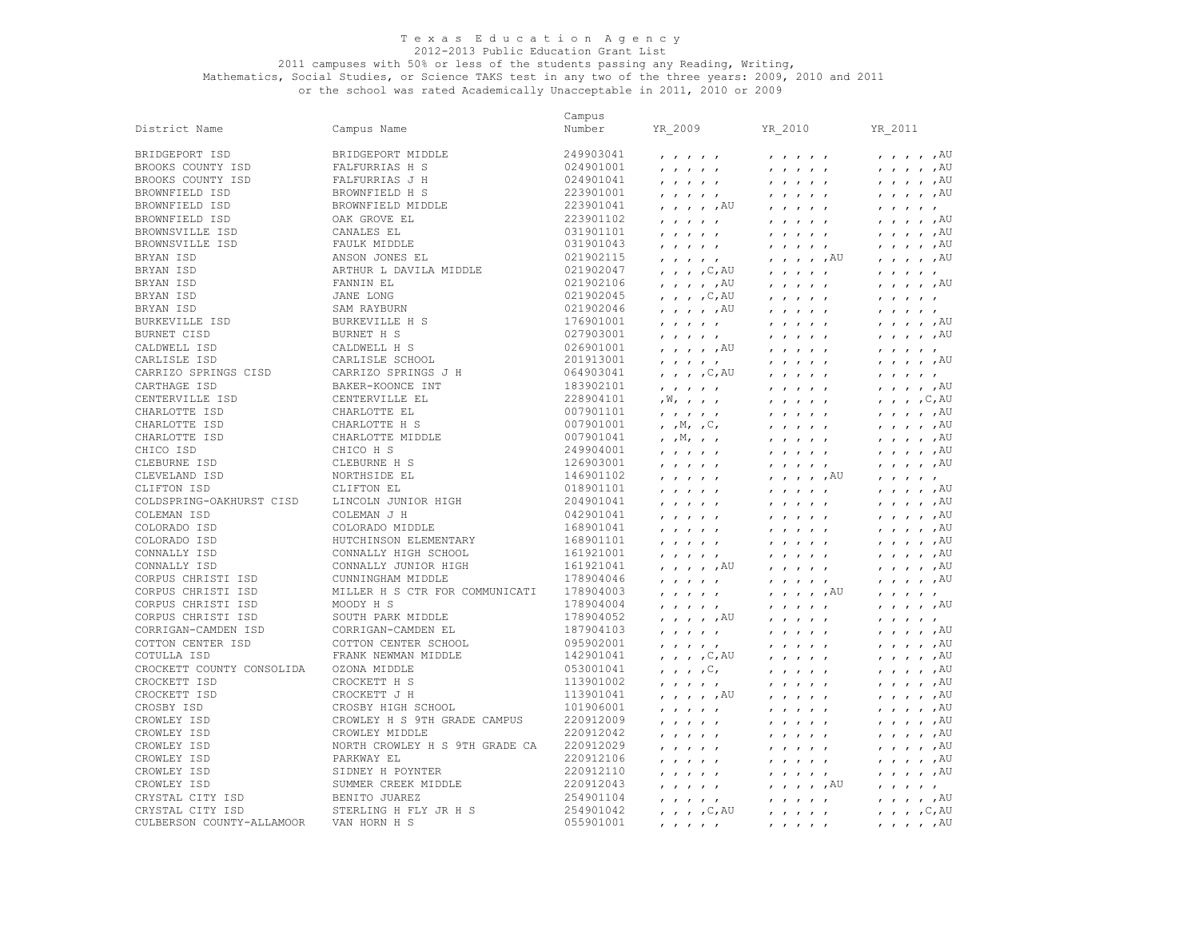# 2011 campuses with 50% or less of the students passing any Reading, Writing,

Mathematics, Social Studies, or Science TAKS test in any two of the three years: 2009, 2010 and 2011 or the school was rated Academically Unacceptable in 2011, 2010 or 2009

 BRYAN ISD SAM RAYBURN 021902046 , , , , ,AU , , , , , , , , , , CARRIZO SPRINGS CISD CARRIZO SPRINGS J H 064903041 , , , ,C,AU , , , , , , , , , , CARTHAGE ISD<br>CENTERVILLE ISD CHICO ISD<br>CLEBURNE ISD CLIFTON ISD COLDSPRING-OAKHURST CISD LINCOLN JUNIOR HIGH 204901041 , , , , , , , , , , , , , , ,AU COLEMAN ISD COLEMAN J H 042901041 , , , , , , , , , , , , , , ,AU COLORADO ISD COTULLA ISD CROCKETT COUNTY CONSOLIDA OZONA MIDDLE 053001041 , , , ,C, , , , , , , , , , ,AU CROCKETT ISD CROCKETT H S 113901002 , , , , , , , , , , , , , , ,AU CROWLEY ISD NORTH CROWLEY H S 9TH GRADE CA 220912029 , , , , , , , , , , , , , , ,AU CULBERSON COUNTY-ALLAMOOR VAN HORN H S 055901001 , , , , , , , , , , , , , , ,AU Campus<br>Number District Name Campus Name Number YR\_2009 YR\_2010 YR\_2011 BRIDGEPORT ISD BRIDGEPORT MIDDLE 249903041 , , , , , , , , , , , , , , ,AU BROOKS COUNTY ISD FALFURRIAS H S 024901001 , , , , , , , , , , , , , , ,AU BROOKS COUNTY ISD FALFURRIAS J H 024901041 , , , , , , , , , , , , , , ,AU BROWNFIELD ISD BROWNFIELD H S 223901001 , , , , , , , , , , , , , , ,AU BROWNFIELD ISD BROWNFIELD MIDDLE 223901041 , , , , ,AU , , , , , , , , , , BROWNFIELD ISD OAK GROVE EL 223901102 , , , , , , , , , , , , , , ,AU BROWNSVILLE ISD CANALES EL 031901101 , , , , , , , , , , , , , , ,AU BROWNSVILLE ISD FAULK MIDDLE 031901043 , , , , , , , , , , , , , , ,AU BRYAN ISD ANSON JONES EL 021902115 , , , , , , , , , ,AU , , , , ,AU BRYAN ISD ARTHUR L DAVILA MIDDLE 021902047 , , , ,C,AU , , , , , , , , , , BRYAN ISD FANNIN EL 021902106 , , , , ,AU , , , , , , , , , ,AU BRYAN ISD JANE LONG 021902045 , , , , C,AU , , , , , , , , , , , , , BURKEVILLE ISD BURKEVILLE H S 176901001 , , , , , , , , , , , , , , ,AU BURNET CISD BURNET H S 027903001 , , , , , , , , , , , , , , ,AU CALDWELL ISD CALDWELL H S 026901001 , , , , ,AU , , , , , , , , , , CARLISLE ISD CARLISLE SCHOOL 201913001 , , , , , , , , , , , , , , ,AU CARTHAGE ISD BAKER-KOONCE INT 183902101 , , , , , , , , , , , , , , ,AU CENTERVILLE EL  $228904101$ ,  $N,$ , , , , , , , , , , , , , , , , , C, AU CHARLOTTE ISD CHARLOTTE EL 007901101 , , , , , , , , , , , , , , ,AU CHARLOTTE ISD CHARLOTTE H S 007901001 , ,M, ,C, , , , , , , , , , ,AU CHARLOTTE ISD CHARLOTTE MIDDLE 007901041 , ,M, , , , , , , , , , , , ,AU CHICO ISD CHICO H S 249904001 , , , , , , , , , , , , , , ,AU CLEBURNE ISD CLEBURNE H S 126903001 , , , , , , , , , , , , , , ,AU CLEVELAND ISD NORTHSIDE EL 146901102 , , , , , , , , , ,AU , , , , , CLIFTON ISD CLIFTON EL 018901101 , , , , , , , , , , , , , , ,AU COLORADO ISD COLORADO MIDDLE 168901041 , , , , , , , , , , , , , , ,AU COLORADO ISD HUTCHINSON ELEMENTARY 168901101 , , , , , , , , , , , , , , ,AU CONNALLY ISD CONNALLY HIGH SCHOOL 161921001 , , , , , , , , , , , , , , ,AU CONNALLY ISD CONNALLY JUNIOR HIGH 161921041 , , , , ,AU , , , , , , , , , ,AU CORPUS CHRISTI ISD CUNNINGHAM MIDDLE 178904046 , , , , , , , , , , , , , , ,AU CORPUS CHRISTI ISD MILLER H S CTR FOR COMMUNICATI 178904003 , , , , , , , , , ,AU , , , , , CORPUS CHRISTI ISD MOODY H S 178904004 , , , , , , , , , , , , , , ,AU CORPUS CHRISTI ISD SOUTH PARK MIDDLE 178904052 , , , , ,AU , , , , , , , , , , CORRIGAN-CAMDEN ISD CORRIGAN-CAMDEN EL 187904103 , , , , , , , , , , , , , , ,AU COTTON CENTER ISD COTTON CENTER SCHOOL 095902001 , , , , , , , , , , , , , , ,AU COTULLA ISD FRANK NEWMAN MIDDLE 142901041 , , , ,C,AU , , , , , , , , , ,AU CROCKETT ISD CROCKETT J H 113901041 , , , , ,AU , , , , , , , , , ,AU CROSBY ISD CROSBY HIGH SCHOOL 101906001 , , , , , , , , , , , , , , ,AU CROWLEY ISD CROWLEY H S 9TH GRADE CAMPUS 220912009 , , , , , , , , , , , , , , ,AU CROWLEY ISD CROWLEY MIDDLE 220912042 , , , , , , , , , , , , , , ,AU CROWLEY ISD PARKWAY EL 220912106 , , , , , , , , , , , , , , ,AU CROWLEY ISD SIDNEY H POYNTER 220912110 , , , , , , , , , , , , , , ,AU CROWLEY ISD SUMMER CREEK MIDDLE 220912043 , , , , , , , , , ,AU , , , , , CRYSTAL CITY ISD BENITO JUAREZ 254901104 , , , , , , , , , , , , , , ,AU CRYSTAL CITY ISD STERLING H FLY JR H S 254901042 , , , ,C,AU , , , , , , , , ,C,AU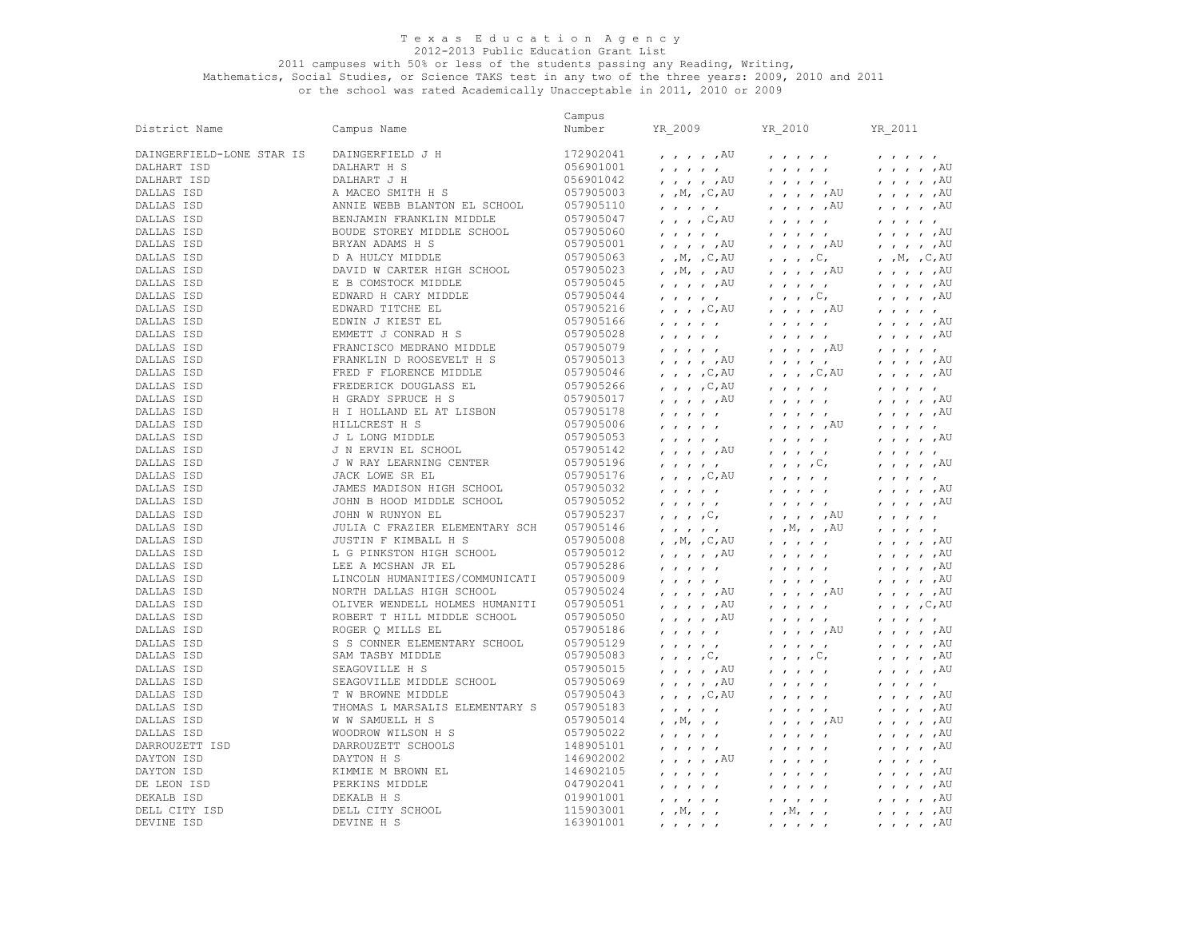## 2011 campuses with 50% or less of the students passing any Reading, Writing,

Mathematics, Social Studies, or Science TAKS test in any two of the three years: 2009, 2010 and 2011 or the school was rated Academically Unacceptable in 2011, 2010 or 2009

Campus<br>Number District Name Campus Name Number YR\_2009 YR\_2010 YR\_2011 DAINGERFIELD-LONE STAR IS DAINGERFIELD J H 172902041 , , , , ,AU , , , , , , , , , , DALHART ISD DALHART H S 056901001 , , , , , , , , , , , , , , ,AU DALHART ISD DALHART J H 056901042 , , , , ,AU , , , , , , , , , ,AU DALLAS ISD A MACEO SMITH H S 057905003 , ,M, ,C,AU , , , , ,AU , , , , ,AU DALLAS ISD ANNIE WEBB BLANTON EL SCHOOL 057905110 , , , , , , , , , ,AU , , , , ,AU DALLAS ISD BENJAMIN FRANKLIN MIDDLE 057905047 , , , ,C,AU , , , , , , , , , , DALLAS ISD BOUDE STOREY MIDDLE SCHOOL 057905060 , , , , , , , , , , , , , , ,AU DALLAS ISD BRYAN ADAMS H S 057905001 , , , , ,AU , , , , ,AU , , , , ,AU DALLAS ISD D A HULCY MIDDLE 057905063 , ,M, ,C,AU , , , ,C, , ,M, ,C,AU DALLAS ISD DAVID W CARTER HIGH SCHOOL 057905023 , ,M, , ,AU , , , , ,AU , , , , ,AU DALLAS ISD E B COMSTOCK MIDDLE 057905045 , , , , ,AU , , , , , , , , , ,AU DALLAS ISD EDWARD H CARY MIDDLE 057905044 , , , , , , , , ,C, , , , , ,AU DALLAS ISD EDWARD TITCHE EL 057905216 , , , ,C,AU , , , , ,AU , , , , , DALLAS ISD EDWIN J KIEST EL 057905166 , , , , , , , , , , , , , , ,AU DALLAS ISD EMMETT J CONRAD H S 057905028 , , , , , , , , , , , , , , ,AU DALLAS ISD FRANCISCO MEDRANO MIDDLE 057905079 , , , , , , , , , ,AU , , , , , DALLAS ISD FRANKLIN D ROOSEVELT H S 057905013 , , , , ,AU , , , , , , , , , ,AU DALLAS ISD FRED F FLORENCE MIDDLE 057905046 , , , , C, AU DALLAS ISD FREDERICK DOUGLASS EL 057905266 , , , , C, AU DALLAS ISD FREDERICK DOUGLASS EL 057905266 , , , ,C,AU , , , , , , , , , , DALLAS ISD H GRADY SPRUCE H S 057905017 , , , , ,AU , , , , , , , , , ,AU DALLAS ISD H I HOLLAND EL AT LISBON 057905178 , , , , , , , , , , , , , , ,AU DALLAS ISD HILLCREST H S 057905006 , , , , , , , , , ,AU , , , , , DALLAS ISD J L LONG MIDDLE 057905053 , , , , , , , , , , , , , , ,AU DALLAS ISD J N ERVIN EL SCHOOL 057905142 , , , , ,AU , , , , , , , , , , DALLAS ISD J W RAY LEARNING CENTER 057905196 , , , , , , , , ,C, , , , , ,AU DALLAS ISD JACK LOWE SR EL 057905176 , , , , C,AU , , , , , , , , , , , , , DALLAS ISD JAMES MADISON HIGH SCHOOL 057905032 , , , , , , , , , , , , , , ,AU DALLAS ISD JOHN B HOOD MIDDLE SCHOOL 057905052 , , , , , , , , , , , , , , ,AU DALLAS ISD JOHN W RUNYON EL 057905237 , , , ,C, , , , , ,AU , , , , , DALLAS ISD JULIA C FRAZIER ELEMENTARY SCH 057905146 , , , , , , ,M, , ,AU , , , , , DALLAS ISD JUSTIN F KIMBALL H S 057905008 , ,M, ,C,AU , , , , , , , , , ,AU DALLAS ISD L G PINKSTON HIGH SCHOOL 057905012 , , , , ,AU , , , , , , , , , ,AU DALLAS ISD LEE A MCSHAN JR EL 057905286 , , , , , , , , , , , , , , ,AU DALLAS ISD LINCOLN HUMANITIES/COMMUNICATI 057905009 , , , , , , , , , , , , , , ,AU DALLAS ISD NORTH DALLAS HIGH SCHOOL 057905024 , , , , ,AU , , , , ,AU , , , , ,AU DALLAS ISD OLIVER WENDELL HOLMES HUMANITI 057905051 , , , , ,AU , , , , , , , , ,C,AU DALLAS ISD ROBERT T HILL MIDDLE SCHOOL 057905050 , , , , ,AU , , , , , , , , , , DALLAS ISD ROGER Q MILLS EL 057905186 , , , , , , , , , ,AU , , , , ,AU DALLAS ISD S S CONNER ELEMENTARY SCHOOL 057905129 , , , , , , , , , , , , , , ,AU DALLAS ISD SAM TASBY MIDDLE 057905083 , , , ,C, , , , ,C, , , , , ,AU DALLAS ISD SEAGOVILLE H S 057905015 , , , , ,AU , , , , , , , , , ,AU DALLAS ISD SEAGOVILLE MIDDLE SCHOOL 057905069 , , , , ,AU , , , , , , , , , , DALLAS ISD T W BROWNE MIDDLE 057905043 , , , ,C,AU , , , , , , , , , ,AU DALLAS ISD THOMAS L MARSALIS ELEMENTARY S 057905183 , , , , , , , , , , , , , , ,AU DALLAS ISD W W SAMUELL H S 057905014 , ,M, , , , , , , ,AU , , , , ,AU DALLAS ISD WOODROW WILSON H S 057905022 , , , , , , , , , , , , , , ,AU DARROUZETT ISD DARROUZETT SCHOOLS 148905101 , , , , , , , , , , , , , , ,AU DAYTON ISD DAYTON H S 146902002 , , , , ,AU , , , , , , , , , , DAYTON ISD KIMMIE M BROWN EL 146902105 , , , , , , , , , , , , , , ,AU DE LEON ISD PERKINS MIDDLE 047902041 , , , , , , , , , , , , , , ,AU DEKALB ISD DEKALB H S 019901001 , , , , , , , , , , , , , , ,AU DELL CITY ISD DELL CITY SCHOOL 115903001 , ,M, , , , ,M, , , , , , , ,AU DEVINE ISD DEVINE H S 163901001 , , , , , , , , , , , , , , ,AU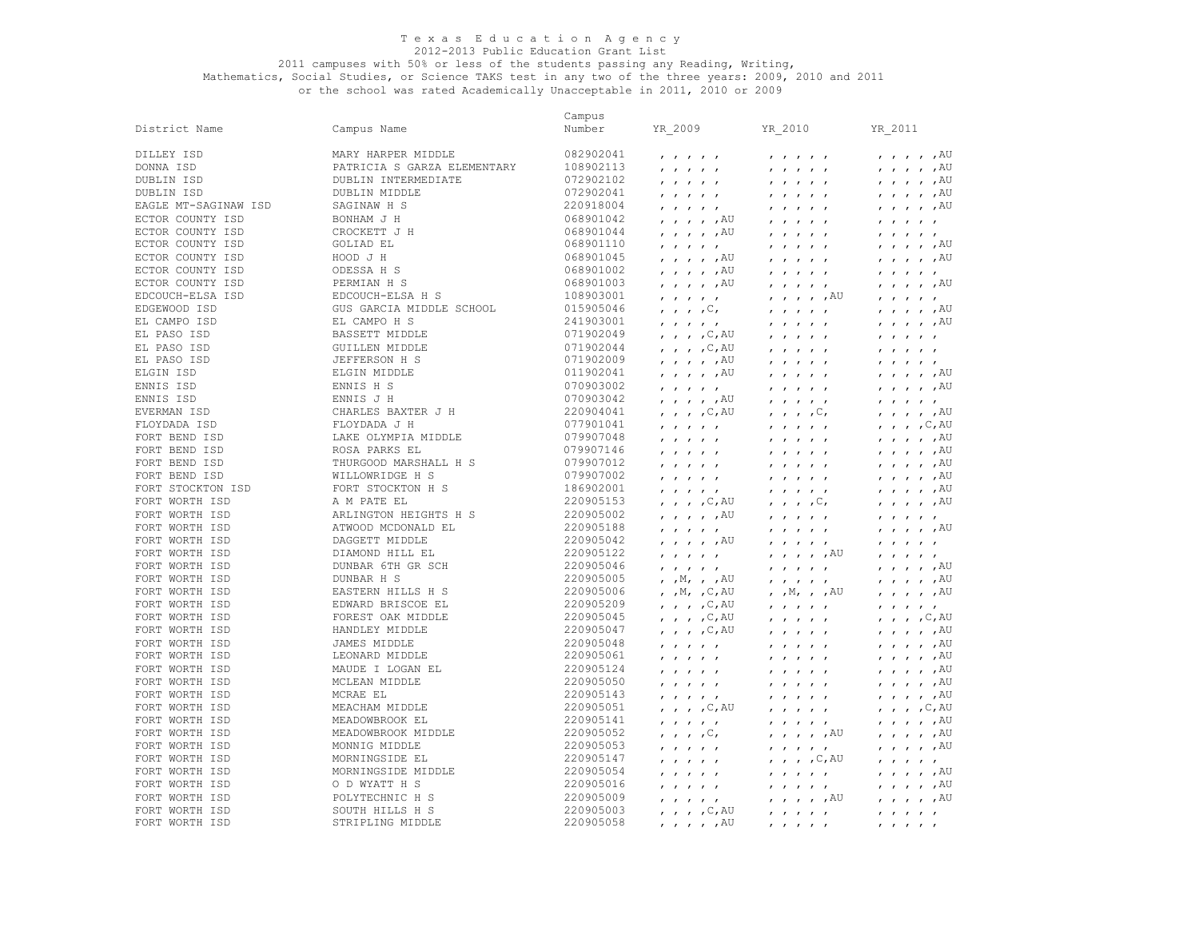## 2011 campuses with 50% or less of the students passing any Reading, Writing,

|                      |                             | Campus    |                                                                                                                         |                                                                                                                     |                                                                                                                      |
|----------------------|-----------------------------|-----------|-------------------------------------------------------------------------------------------------------------------------|---------------------------------------------------------------------------------------------------------------------|----------------------------------------------------------------------------------------------------------------------|
| District Name        | Campus Name                 | Number    | YR 2009                                                                                                                 | YR_2010                                                                                                             | YR 2011                                                                                                              |
| DILLEY ISD           | MARY HARPER MIDDLE          | 082902041 | $\mathbf{r}$ $\mathbf{r}$ $\mathbf{r}$ $\mathbf{r}$ $\mathbf{r}$                                                        |                                                                                                                     | $\prime$ $\prime$ $\prime$ $\prime$ $\prime$ $\lambda$ U                                                             |
| DONNA ISD            | PATRICIA S GARZA ELEMENTARY | 108902113 | $\mathbf{r}$ $\mathbf{r}$ $\mathbf{r}$ $\mathbf{r}$ $\mathbf{r}$                                                        |                                                                                                                     | $, , , , , , A$ U                                                                                                    |
| DUBLIN ISD           | DUBLIN INTERMEDIATE         | 072902102 | $\mathbf{r}$ $\mathbf{r}$ $\mathbf{r}$ $\mathbf{r}$ $\mathbf{r}$                                                        | $\mathbf{r}$ $\mathbf{r}$ $\mathbf{r}$ $\mathbf{r}$ $\mathbf{r}$                                                    | $\prime$ , $\prime$ , $\prime$ , $\overline{A}U$                                                                     |
| DUBLIN ISD           | DUBLIN MIDDLE               | 072902041 | $\mathbf{r}$ $\mathbf{r}$ $\mathbf{r}$ $\mathbf{r}$ $\mathbf{r}$                                                        | $\boldsymbol{r}=\boldsymbol{r}=\boldsymbol{r}=\boldsymbol{r}=\boldsymbol{r}$                                        | $\prime$ , $\prime$ , $\prime$ , $AU$                                                                                |
| EAGLE MT-SAGINAW ISD | SAGINAW H S                 | 220918004 | $\mathbf{r}$ $\mathbf{r}$ $\mathbf{r}$ $\mathbf{r}$ $\mathbf{r}$                                                        | $\mathbf{r}$ $\mathbf{r}$ $\mathbf{r}$ $\mathbf{r}$ $\mathbf{r}$                                                    | $, , , , , , A$ U                                                                                                    |
| ECTOR COUNTY ISD     | BONHAM J H                  | 068901042 | $\prime$ $\prime$ $\prime$ $\prime$ $\prime$ $\lambda$ U                                                                | $\mathbf{r}$ $\mathbf{r}$ $\mathbf{r}$ $\mathbf{r}$ $\mathbf{r}$                                                    | $\mathbf{r}$ $\mathbf{r}$ $\mathbf{r}$ $\mathbf{r}$ $\mathbf{r}$                                                     |
| ECTOR COUNTY ISD     | CROCKETT J H                | 068901044 | $, \, , \, , \, , \, ,$ $\mathbb{A} \mathbb{U}$                                                                         | $\mathbf{r}$ $\mathbf{r}$ $\mathbf{r}$ $\mathbf{r}$ $\mathbf{r}$                                                    |                                                                                                                      |
| ECTOR COUNTY ISD     | GOLIAD EL                   | 068901110 | $\mathbf{r}$ $\mathbf{r}$ $\mathbf{r}$ $\mathbf{r}$ $\mathbf{r}$                                                        | $\mathbf{r}$ $\mathbf{r}$ $\mathbf{r}$ $\mathbf{r}$ $\mathbf{r}$                                                    | $, \, \cdot \,$ , $, \, \text{AU}$                                                                                   |
| ECTOR COUNTY ISD     | HOOD J H                    | 068901045 | $, \, , \, , \, , \, ,$ $\mathbb{A} \mathbb{U}$                                                                         | $\mathbf{r}$ $\mathbf{r}$ $\mathbf{r}$ $\mathbf{r}$ $\mathbf{r}$                                                    | $, \, , \, , \, , \, ,$ $\mathbb{A} \mathbb{U}$                                                                      |
| ECTOR COUNTY ISD     | ODESSA H S                  | 068901002 | $\prime$ $\prime$ $\prime$ $\prime$ $\prime$ $\lambda$ U                                                                | $\mathbf{r}$ $\mathbf{r}$ $\mathbf{r}$ $\mathbf{r}$ $\mathbf{r}$                                                    | $\mathbf{r}$ $\mathbf{r}$ $\mathbf{r}$ $\mathbf{r}$ $\mathbf{r}$                                                     |
| ECTOR COUNTY ISD     | PERMIAN H S                 | 068901003 | $, \, , \, , \, , \, ,$ $\mathbb{A} \mathbb{U}$                                                                         | $\mathbf{r}$ $\mathbf{r}$ $\mathbf{r}$ $\mathbf{r}$ $\mathbf{r}$                                                    | $, \, , \, , \, , \, ,$ $\mathbb{A} \mathbb{U}$                                                                      |
| EDCOUCH-ELSA ISD     | EDCOUCH-ELSA H S            | 108903001 | $\mathbf{r}$ $\mathbf{r}$ $\mathbf{r}$ $\mathbf{r}$ $\mathbf{r}$                                                        | $, \, \, , \, \, , \, \, , \,$ $,$ $\mathbb{A} \mathbb{U}$                                                          | $\mathbf{r}$ $\mathbf{r}$ $\mathbf{r}$ $\mathbf{r}$ $\mathbf{r}$                                                     |
| EDGEWOOD ISD         | GUS GARCIA MIDDLE SCHOOL    | 015905046 | $\cdot$ , , , $\circ$ ,                                                                                                 | $\mathbf{r}$ $\mathbf{r}$ $\mathbf{r}$ $\mathbf{r}$ $\mathbf{r}$                                                    | $, \, , \, , \, , \, ,$ $\mathbb{A} \cup$                                                                            |
| EL CAMPO ISD         | EL CAMPO H S                | 241903001 | $\mathbf{r}$ $\mathbf{r}$ $\mathbf{r}$ $\mathbf{r}$ $\mathbf{r}$                                                        | $\mathbf{r}$ $\mathbf{r}$ $\mathbf{r}$ $\mathbf{r}$ $\mathbf{r}$                                                    | $, , , , , , A$ U                                                                                                    |
| EL PASO ISD          | BASSETT MIDDLE              | 071902049 | $, \, , \, , \, , \, C, \text{AU}$                                                                                      | $\mathbf{r}$ $\mathbf{r}$ $\mathbf{r}$ $\mathbf{r}$ $\mathbf{r}$                                                    | $\mathbf{r}$ $\mathbf{r}$ $\mathbf{r}$ $\mathbf{r}$                                                                  |
| EL PASO ISD          | <b>GUILLEN MIDDLE</b>       | 071902044 | $\mu$ , $\mu$ , $\sim$ , $\sim$ , $\sim$                                                                                | $\mathbf{r}$ $\mathbf{r}$ $\mathbf{r}$ $\mathbf{r}$ $\mathbf{r}$                                                    | $\mathbf{r}$ $\mathbf{r}$ $\mathbf{r}$ $\mathbf{r}$ $\mathbf{r}$                                                     |
| EL PASO ISD          | JEFFERSON H S               | 071902009 | $, \, , \, , \, , \, ,$ $\mathbb{A} \mathbb{U}$                                                                         |                                                                                                                     | $\mathbf{r}$ $\mathbf{r}$ $\mathbf{r}$ $\mathbf{r}$ $\mathbf{r}$                                                     |
| ELGIN ISD            | ELGIN MIDDLE                | 011902041 | $, \, , \, , \, , \, ,$ $\mathbb{A} \mathbb{U}$                                                                         | $\mathbf{r}$ $\mathbf{r}$ $\mathbf{r}$ $\mathbf{r}$ $\mathbf{r}$                                                    | $, , , , , , A$ U                                                                                                    |
| ENNIS ISD            | ENNIS H S                   | 070903002 |                                                                                                                         | $1$ $1$ $1$ $1$ $1$                                                                                                 | , , , , , ,                                                                                                          |
| ENNIS ISD            | ENNIS J H                   | 070903042 | $\mathbf{r}$ $\mathbf{r}$ $\mathbf{r}$ $\mathbf{r}$ $\mathbf{r}$<br>$, \, \cdot \,$ , $, \, \text{AU}$                  | $\mathbf{r}$ , $\mathbf{r}$ , $\mathbf{r}$ , $\mathbf{r}$                                                           | $\mathbf{r}$ $\mathbf{r}$ $\mathbf{r}$ $\mathbf{r}$ $\mathbf{r}$                                                     |
| EVERMAN ISD          | CHARLES BAXTER J H          | 220904041 | $, \, , \, , \, , \, C, \text{AU}$                                                                                      | $\mathbf{r}$ $\mathbf{r}$ $\mathbf{r}$ $\mathbf{r}$ $\mathbf{r}$                                                    | $, , , , , , A$ U                                                                                                    |
| FLOYDADA ISD         | FLOYDADA J H                | 077901041 |                                                                                                                         | $\ldots$ , $\cup$ ,                                                                                                 | $, , , , , \subset, AU$                                                                                              |
| FORT BEND ISD        | LAKE OLYMPIA MIDDLE         | 079907048 | $\mathbf{r}$ $\mathbf{r}$ $\mathbf{r}$ $\mathbf{r}$ $\mathbf{r}$                                                        | $\mathbf{r}$ $\mathbf{r}$ $\mathbf{r}$ $\mathbf{r}$ $\mathbf{r}$                                                    | $, , , , , , A$ U                                                                                                    |
| FORT BEND ISD        | ROSA PARKS EL               | 079907146 | $\mathbf{r}$ $\mathbf{r}$ $\mathbf{r}$ $\mathbf{r}$ $\mathbf{r}$                                                        | $\mathbf{r}$ $\mathbf{r}$ $\mathbf{r}$ $\mathbf{r}$ $\mathbf{r}$                                                    | $, \, , \, , \, , \, ,$ $\mathbb{A} \mathbb{U}$                                                                      |
| FORT BEND ISD        | THURGOOD MARSHALL H S       | 079907012 | $\mathbf{r}$ $\mathbf{r}$ $\mathbf{r}$ $\mathbf{r}$ $\mathbf{r}$                                                        | $\mathbf{r}$ $\mathbf{r}$ $\mathbf{r}$ $\mathbf{r}$ $\mathbf{r}$                                                    | $\prime$ , $\prime$ , $\prime$ , $\overline{A}U$                                                                     |
| FORT BEND ISD        | WILLOWRIDGE H S             | 079907002 | $\mathbf{r}$ $\mathbf{r}$ $\mathbf{r}$ $\mathbf{r}$ $\mathbf{r}$                                                        | $\mathbf{r}$ $\mathbf{r}$ $\mathbf{r}$ $\mathbf{r}$ $\mathbf{r}$                                                    | $, \, , \, , \, , \, ,$ $\mathbb{A} \mathbb{U}$                                                                      |
| FORT STOCKTON ISD    | FORT STOCKTON H S           | 186902001 | $\mathbf{r}$ $\mathbf{r}$ $\mathbf{r}$ $\mathbf{r}$ $\mathbf{r}$<br>$\mathbf{r}$ $\mathbf{r}$ $\mathbf{r}$ $\mathbf{r}$ | $\mathbf{r}$ $\mathbf{r}$ $\mathbf{r}$ $\mathbf{r}$ $\mathbf{r}$                                                    | $\prime$ , $\prime$ , $\prime$ , $AU$                                                                                |
| FORT WORTH ISD       | A M PATE EL                 | 220905153 | $\prime$ , $\prime$ , $\prime$ , $\sim$ , $\overline{A}U$                                                               | $\mathbf{r}$ $\mathbf{r}$ $\mathbf{r}$ $\mathbf{r}$ $\mathbf{r}$                                                    | , , , , , ,                                                                                                          |
| FORT WORTH ISD       | ARLINGTON HEIGHTS H S       | 220905002 | $, \, , \, , \, , \, ,$ $\mathbb{A} \mathbb{U}$                                                                         | $\ldots$ , $\cup$ ,<br>$\mathbf{r}$ $\mathbf{r}$ $\mathbf{r}$ $\mathbf{r}$ $\mathbf{r}$                             | $\mathbf{r}$ $\mathbf{r}$ $\mathbf{r}$ $\mathbf{r}$ $\mathbf{r}$                                                     |
| FORT WORTH ISD       | ATWOOD MCDONALD EL          | 220905188 |                                                                                                                         |                                                                                                                     | $, \, , \, , \, , \, ,$ $\mathbb{A} \mathbb{U}$                                                                      |
| FORT WORTH ISD       | DAGGETT MIDDLE              | 220905042 | $\prime$ , $\prime$ , $\prime$ , $\overline{A}U$                                                                        | $1$ $1$ $1$ $1$ $1$                                                                                                 | $\mathbf{r}$ $\mathbf{r}$ $\mathbf{r}$ $\mathbf{r}$ $\mathbf{r}$                                                     |
| FORT WORTH ISD       | DIAMOND HILL EL             | 220905122 | $\mathbf{r}$ $\mathbf{r}$ $\mathbf{r}$ $\mathbf{r}$ $\mathbf{r}$                                                        | $\mathbf{r}$ $\mathbf{r}$ $\mathbf{r}$ $\mathbf{r}$ $\mathbf{r}$<br>$, \, , \, , \, , \, ,$ $\mathbb{A} \mathbb{U}$ | $\mathbf{r}$ $\mathbf{r}$ $\mathbf{r}$ $\mathbf{r}$ $\mathbf{r}$                                                     |
| FORT WORTH ISD       | DUNBAR 6TH GR SCH           | 220905046 | $\mathbf{r}$ $\mathbf{r}$ $\mathbf{r}$ $\mathbf{r}$                                                                     | $\mathbf{r}$ $\mathbf{r}$ $\mathbf{r}$ $\mathbf{r}$ $\mathbf{r}$                                                    | $, \, \, , \, \, , \, \, , \,$ $\mathbb{A} \cup$                                                                     |
| FORT WORTH ISD       | DUNBAR H S                  | 220905005 | $, , M, , , A$ U                                                                                                        |                                                                                                                     | $, , , , , , A$ U                                                                                                    |
| FORT WORTH ISD       | EASTERN HILLS H S           | 220905006 | , $,M$ , $,C$ , AU                                                                                                      | $\mathbf{r}$ $\mathbf{r}$ $\mathbf{r}$ $\mathbf{r}$ $\mathbf{r}$<br>, , M, , , AU                                   | $, , , , , , A$ U                                                                                                    |
| FORT WORTH ISD       | EDWARD BRISCOE EL           | 220905209 | $, \quad , \quad , \quad , \mathbb{C}, \mathbb{AU}$                                                                     |                                                                                                                     |                                                                                                                      |
| FORT WORTH ISD       | FOREST OAK MIDDLE           | 220905045 | $, \, , \, , \, , \, , \, \mathbb{C}$ , AU                                                                              | $\mathbf{r}$ $\mathbf{r}$ $\mathbf{r}$ $\mathbf{r}$ $\mathbf{r}$                                                    | $\mathbf{r}$ $\mathbf{r}$ $\mathbf{r}$ $\mathbf{r}$ $\mathbf{r}$<br>$, \quad, \quad, \quad, \mathbb{C}, \mathbb{AU}$ |
| FORT WORTH ISD       | HANDLEY MIDDLE              | 220905047 | $, \quad, \quad, \quad, \mathbb{C}, \mathbb{AU}$                                                                        | $\mathbf{r}$ $\mathbf{r}$ $\mathbf{r}$ $\mathbf{r}$ $\mathbf{r}$                                                    | $, \, , \, , \, , \, ,$ $\mathbb{A} \cup$                                                                            |
| FORT WORTH ISD       | JAMES MIDDLE                | 220905048 |                                                                                                                         | $\mathbf{r}$ $\mathbf{r}$ $\mathbf{r}$ $\mathbf{r}$ $\mathbf{r}$                                                    | $, , , , , , A$ U                                                                                                    |
| FORT WORTH ISD       | LEONARD MIDDLE              | 220905061 | $\mathbf{r}$ $\mathbf{r}$ $\mathbf{r}$ $\mathbf{r}$                                                                     | $1$ $1$ $1$ $1$ $1$                                                                                                 |                                                                                                                      |
| FORT WORTH ISD       | MAUDE I LOGAN EL            | 220905124 | $\mathbf{r}$ $\mathbf{r}$ $\mathbf{r}$ $\mathbf{r}$ $\mathbf{r}$                                                        | $\mathbf{r}$ $\mathbf{r}$ $\mathbf{r}$ $\mathbf{r}$ $\mathbf{r}$                                                    | $\prime$ , $\prime$ , $\prime$ , $AU$                                                                                |
| FORT WORTH ISD       | MCLEAN MIDDLE               | 220905050 | $\mathbf{r}$ $\mathbf{r}$ $\mathbf{r}$ $\mathbf{r}$ $\mathbf{r}$                                                        | $\mathbf{r}$ $\mathbf{r}$ $\mathbf{r}$ $\mathbf{r}$ $\mathbf{r}$                                                    | $, , , , , , A$ U<br>$\mu$ , $\mu$ , $\mu$ $\sim$                                                                    |
| FORT WORTH ISD       | MCRAE EL                    | 220905143 | $\mathbf{r}$ $\mathbf{r}$ $\mathbf{r}$ $\mathbf{r}$ $\mathbf{r}$                                                        |                                                                                                                     | $, , , , , , A$ U                                                                                                    |
| FORT WORTH ISD       | MEACHAM MIDDLE              | 220905051 | $\mathbf{r}$ $\mathbf{r}$ $\mathbf{r}$ $\mathbf{r}$ $\mathbf{r}$                                                        | $\mathbf{r}$ $\mathbf{r}$ $\mathbf{r}$ $\mathbf{r}$ $\mathbf{r}$                                                    | $, \quad , \quad , \quad , \mathbb{C}$ , AU                                                                          |
| FORT WORTH ISD       | MEADOWBROOK EL              | 220905141 | $, \, , \, , \, , \, , \, \mathbb{C}$ , AU                                                                              | $\mathbf{r}$ $\mathbf{r}$ $\mathbf{r}$ $\mathbf{r}$ $\mathbf{r}$                                                    |                                                                                                                      |
| FORT WORTH ISD       | MEADOWBROOK MIDDLE          | 220905052 | $\mathbf{r}$ $\mathbf{r}$ $\mathbf{r}$ $\mathbf{r}$ $\mathbf{r}$                                                        | $\mathbf{r}$ $\mathbf{r}$ $\mathbf{r}$ $\mathbf{r}$ $\mathbf{r}$                                                    | $\prime$ , $\prime$ , $\prime$ , $\overline{A}U$<br>$, , , , , , A$ U                                                |
| FORT WORTH ISD       | MONNIG MIDDLE               | 220905053 |                                                                                                                         | $, \, , \, , \, , \, ,$ $\mathbb{A} \mathbb{U}$                                                                     |                                                                                                                      |
| FORT WORTH ISD       | MORNINGSIDE EL              | 220905147 | $\mathbf{r}$ $\mathbf{r}$ $\mathbf{r}$ $\mathbf{r}$ $\mathbf{r}$                                                        | $\mathbf{r}$ $\mathbf{r}$ $\mathbf{r}$ $\mathbf{r}$ $\mathbf{r}$                                                    | $, \, , \, , \, , \, ,$ $\mathbb{A} \mathbb{U}$                                                                      |
| FORT WORTH ISD       | MORNINGSIDE MIDDLE          | 220905054 | $\mathbf{r}$ $\mathbf{r}$ $\mathbf{r}$ $\mathbf{r}$ $\mathbf{r}$                                                        | $, \, , \, , \, , \, , \, \mathbb{C}$ , AU                                                                          | $\mathbf{r}$ $\mathbf{r}$ $\mathbf{r}$ $\mathbf{r}$                                                                  |
| FORT WORTH ISD       | O D WYATT H S               | 220905016 | $\mathbf{r}$ $\mathbf{r}$ $\mathbf{r}$ $\mathbf{r}$ $\mathbf{r}$                                                        | $\mathbf{r}$ $\mathbf{r}$ $\mathbf{r}$ $\mathbf{r}$ $\mathbf{r}$                                                    | , , , , , ,                                                                                                          |
| FORT WORTH ISD       | POLYTECHNIC H S             | 220905009 | $\mathbf{r}$ $\mathbf{r}$ $\mathbf{r}$ $\mathbf{r}$ $\mathbf{r}$                                                        | $\mathbf{r}$ $\mathbf{r}$ $\mathbf{r}$ $\mathbf{r}$ $\mathbf{r}$                                                    | $, \, , \, , \, , \, ,$ $\mathbb{A} \mathbb{U}$                                                                      |
| FORT WORTH ISD       |                             | 220905003 | $\mathbf{r}$ $\mathbf{r}$ $\mathbf{r}$ $\mathbf{r}$ $\mathbf{r}$                                                        | $, \, \, , \, \, , \, \, , \,$ $,$ $\mathbb{A} \mathbb{U}$                                                          | $, \, , \, , \, , \, ,$ $\mathbb{A} \mathbb{U}$                                                                      |
|                      | SOUTH HILLS H S             | 220905058 | $\prime$ , $\prime$ , $\sim$ , $\sim$ , $\sim$                                                                          | $\mathbf{r}$ $\mathbf{r}$ $\mathbf{r}$ $\mathbf{r}$ $\mathbf{r}$                                                    | $\mathbf{r}$ $\mathbf{r}$ $\mathbf{r}$ $\mathbf{r}$ $\mathbf{r}$                                                     |
| FORT WORTH ISD       | STRIPLING MIDDLE            |           | $, \, \cdot \,$ , $, \, \cdot \,$ , $\mathbb{A} \mathbb{U}$                                                             | $\boldsymbol{I}=\boldsymbol{I}=\boldsymbol{I}=\boldsymbol{I}=\boldsymbol{I}$                                        | $\boldsymbol{r}=\boldsymbol{r}=\boldsymbol{r}=\boldsymbol{r}=\boldsymbol{r}$                                         |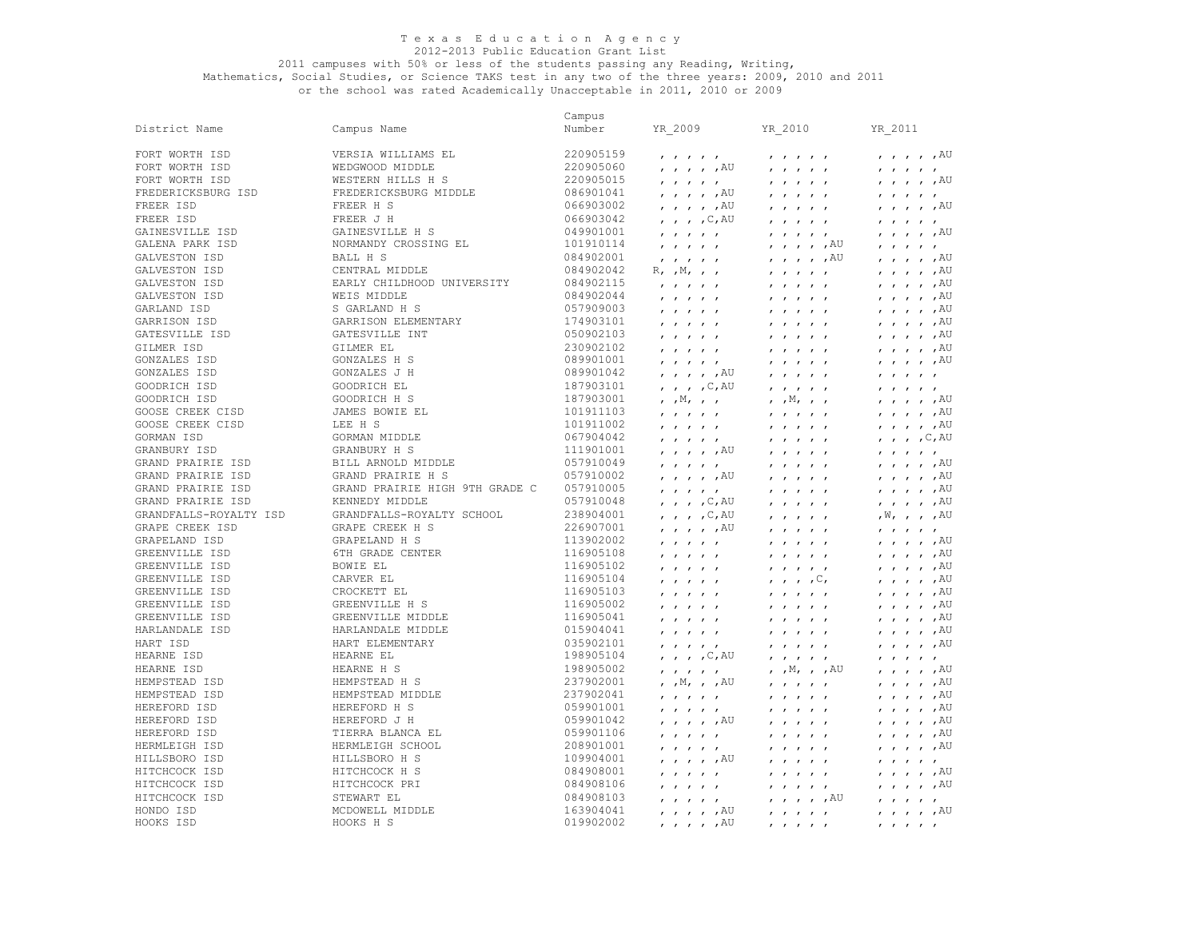#### 2011 campuses with 50% or less of the students passing any Reading, Writing, Mathematics, Social Studies, or Science TAKS test in any two of the three years: 2009, 2010 and 2011 or the school was rated Academically Unacceptable in 2011, 2010 or 2009

 $\overline{\phantom{a}}$ , ,  $\overline{\phantom{a}}$ ,  $\overline{\phantom{a}}$ ,  $\overline{\phantom{a}}$ 

 $\prime$  ,  $\prime$  , AU

 $, , , ,$   $\land$  U

 $, \cdot, \cdot, \text{AU}$ 

 $\prime$  ,  $\prime$  ,  $\land$   $\lor$  $\overline{\phantom{a}}$ , ,  $\overline{\phantom{a}}$ ,  $\overline{\phantom{a}}$ ,  $\overline{\phantom{a}}$  $\overline{\phantom{a}}$ , ,  $\overline{\phantom{a}}$  ,  $\overline{\phantom{a}}$  $, \cdot, \cdot, \text{AU}$  $\prime$  ,  $\prime$  , AU  $, , ,$  ,  $AU$  $\prime$  ,  $\prime$  ,  $\land$   $\lor$  $\overline{\phantom{a}}$ , ,  $\overline{\phantom{a}}$ , ,  $\overline{\phantom{a}}$  $, , , ,$   $\wedge$   $\uparrow$ 

 $, , ,$  ,  $\land$ U  $\prime$  ,  $\prime$  , AU  $\prime$  ,  $\prime$  , AU  $, \, , \,$  C, AU

 $\prime$  ,  $\prime$  ,  $\land$   $\lor$  $\prime$  ,  $\prime$  , AU

057910005 , , , , , , , , , , , , , , ,AU

238904001 , , , ,C,AU , , , , , ,W, , , ,AU 226907001 , , , , ,AU , , , , , , , , , ,

116905108 , , , , , , , , , , , , , , ,AU 116905102 , , , , , , , , , , , , , , ,AU 116905104 , , , , , , , , ,C, , , , , ,AU

116905002 , , , , , , , , , , , , , , ,AU 116905041 , , , , , , , , , , , , , , ,AU

035902101 , , , , , , , , , , , , , , ,AU 198905104 , , , ,C,AU , , , , , , , , , , 198905002 , , , , , , ,M, , ,AU , , , , ,AU 237902001 , ,M, , ,AU , , , , , , , , , ,AU 237902041 , , , , , , , , , , , , , , ,AU

059901042 , , , , ,AU , , , , , , , , , ,AU 059901106 , , , , , , , , , , , , , , ,AU 208901001 , , , , , , , , , , , , , , ,AU

084908001 , , , , , , , , , , , , , , ,AU

084908103 , , , , , , , , , ,AU , , , , , 163904041 , , , , ,AU , , , , , , , , , ,AU

 $\mathcal{L} \times \mathcal{L} \times \mathcal{L} \times \mathcal{L} \times \mathcal{L} \times \mathcal{L} \times \mathcal{L} \times \mathcal{L} \times \mathcal{L} \times \mathcal{L} \times \mathcal{L} \times \mathcal{L} \times \mathcal{L} \times \mathcal{L} \times \mathcal{L} \times \mathcal{L} \times \mathcal{L} \times \mathcal{L} \times \mathcal{L} \times \mathcal{L} \times \mathcal{L} \times \mathcal{L} \times \mathcal{L} \times \mathcal{L} \times \mathcal{L} \times \mathcal{L} \times \mathcal{L} \times \mathcal{$ 

015904041 , , , , , , , , , , , , , , ,AU

 $1000$ ,  $1000$ ,  $1000$ ,  $1000$ ,  $1000$ 

019902002 , , , , ,AU , , , , , , , , , ,

084908106 , , , , , , , , , , , , , , ,AU

057910048 , , , ,C,AU , , , , , , , , , ,AU

113902002 , , , , , , , , , , , , , , ,AU

059901001 , , , , , , , , , , , , , , ,AU

|                     |                                | Campus    |                                                          |                                                                  |                                                                  |
|---------------------|--------------------------------|-----------|----------------------------------------------------------|------------------------------------------------------------------|------------------------------------------------------------------|
| District Name       | Campus Name                    | Number    | YR 2009                                                  | YR 2010                                                          | YR 2011                                                          |
| FORT WORTH ISD      | VERSIA WILLIAMS EL             | 220905159 |                                                          | $\mathbf{r}$ $\mathbf{r}$ $\mathbf{r}$ $\mathbf{r}$ $\mathbf{r}$ | $\mathbf{r}$ $\mathbf{r}$ $\mathbf{r}$ $\mathbf{r}$ $\mathbf{r}$ |
| FORT WORTH ISD      | WEDGWOOD MIDDLE                | 220905060 | $, \, \cdot \,$ , $, \, \text{AU}$                       |                                                                  | , , , , ,                                                        |
| FORT WORTH ISD      | WESTERN HILLS H S              | 220905015 | $\qquad \qquad \cdots$                                   | , , , , ,                                                        | $1$ $1$ $1$ $1$ $1$                                              |
| FREDERICKSBURG ISD  | FREDERICKSBURG MIDDLE          | 086901041 | $, , , , , , A$ U                                        | , , , , ,                                                        | $\qquad \qquad \cdots$                                           |
| FREER ISD           | FREER H S                      | 066903002 | , , , , , ,                                              |                                                                  |                                                                  |
| FREER ISD           | FREER J H                      | 066903042 | $\mu$ , $\mu$ , $\sim$ , $\sim$ , $\sim$                 | $\qquad \qquad \cdots$                                           | $\qquad \qquad \cdots$                                           |
| GAINESVILLE ISD     | GAINESVILLE H S                | 049901001 | $\mathbf{r}$ $\mathbf{r}$ $\mathbf{r}$ $\mathbf{r}$      |                                                                  | , , , , ,                                                        |
| GALENA PARK ISD     | NORMANDY CROSSING EL           | 101910114 | $\mathbf{r}$ $\mathbf{r}$ $\mathbf{r}$ $\mathbf{r}$      | , , , , , AU                                                     |                                                                  |
| GALVESTON ISD       | <b>BALL H S</b>                | 084902001 |                                                          | $\prime$ , $\prime$ , $\prime$ , $\overline{A}U$                 | , , , , ,                                                        |
| GALVESTON ISD       | CENTRAL MIDDLE                 | 084902042 | $R, \gamma, M, \gamma, \gamma$                           | $\qquad \qquad \cdots$                                           | $\qquad \qquad \cdots$                                           |
| GALVESTON ISD       | EARLY CHILDHOOD UNIVERSITY     | 084902115 |                                                          | $\qquad \qquad \cdots$                                           | $\mathbf{r}$ $\mathbf{r}$ $\mathbf{r}$ $\mathbf{r}$ $\mathbf{r}$ |
| GALVESTON ISD       | WEIS MIDDLE                    | 084902044 |                                                          |                                                                  | , , , , ,                                                        |
| GARLAND ISD         | S GARLAND H S                  | 057909003 |                                                          |                                                                  |                                                                  |
| GARRISON ISD        | GARRISON ELEMENTARY            | 174903101 | $\prime$ $\prime$ $\prime$                               |                                                                  | $\prime$ $\prime$ $\prime$                                       |
| GATESVILLE ISD      | GATESVILLE INT                 | 050902103 | , , , , ,                                                | , , , , ,                                                        | $\prime$ $\prime$ $\prime$ $\prime$                              |
| GILMER ISD          | GILMER EL                      | 230902102 | $\qquad \qquad \cdots$                                   |                                                                  | , , , , ,                                                        |
| GONZALES ISD        | <b>GONZALES H S</b>            | 089901001 | $\qquad \qquad \cdots$                                   | $\qquad \qquad \cdots$                                           | $\prime$ $\prime$ $\prime$ $\prime$                              |
| <b>GONZALES ISD</b> | <b>GONZALES J H</b>            | 089901042 | $, \, \cdot \,$ , $, \, \cdot \,$ , $\text{AU}$          | $\qquad \qquad \cdots$                                           | $\qquad \qquad \cdots$                                           |
| GOODRICH ISD        | GOODRICH EL                    | 187903101 | $\mu$ , $\mu$ , $\sim$ , $\sim$ , $\sim$                 | , , , , ,                                                        | $\qquad \qquad \cdots$                                           |
| GOODRICH ISD        | GOODRICH H S                   | 187903001 | $, \, , \mathbb{M}, \, , \, , \,$                        | $, \, , \mathbb{M}, \, , \, , \,$                                | $\qquad \qquad \cdots$                                           |
| GOOSE CREEK CISD    | JAMES BOWIE EL                 | 101911103 | $\mathbf{r}$<br>$\mathbf{1}$ $\mathbf{1}$                | , , , , ,                                                        | , , , , ,                                                        |
| GOOSE CREEK CISD    | LEE H S                        | 101911002 | $\qquad \qquad \cdots$                                   | , , , , ,                                                        | $\qquad \qquad \cdots$                                           |
| GORMAN ISD          | GORMAN MIDDLE                  | 067904042 | , , , , ,                                                | , , , , ,                                                        | $\mathbf{r}$ , $\mathbf{r}$ , $\mathbf{r}$ , $\mathbf{r}$        |
| GRANBURY ISD        | GRANBURY H S                   | 111901001 | $\prime$ $\prime$ $\prime$ $\prime$ $\prime$ $\lambda$ U | $\qquad \qquad \cdots$                                           | $\qquad \qquad \cdots$                                           |
| GRAND PRAIRIE ISD   | BILL ARNOLD MIDDLE             | 057910049 | $\qquad \qquad \cdots$                                   | $\qquad \qquad \cdots$                                           | $\qquad \qquad \cdots$                                           |
| GRAND PRAIRIE ISD   | GRAND PRAIRIE H S              | 057910002 | $, , , , , , A$ U                                        |                                                                  | $\qquad \qquad \cdots$                                           |
| GRAND PRAIRIE ISD   | GRAND PRAIRIE HIGH 9TH GRADE C | 057910005 | .                                                        | .                                                                | .                                                                |

GRAPE CREEK H S

GRAPELAND H S 6TH GRADE CENTER BOWIE EL CARVER EL CROCKETT EL GREENVILLE H S GREENVILLE MIDDLE HARLANDALE MIDDLE HART ELEMENTARY HEARNE EL HEARNE H S HEMPSTEAD H S HEMPSTEAD MIDDLE HEREFORD H S HEREFORD J H TIERRA BLANCA EL HERMLEIGH SCHOOL HILLSBORO H S HITCHCOCK H S HITCHCOCK PRI STEWART EL MCDOWELL MIDDLE HOOKS H S

KENNEDY MIDDLE GRANDFALLS-ROYALTY SCHOOL

HONDO ISD

GRAND PRAIRIE ISD GRANDFALLS-ROYALTY ISD GRAPE CREEK ISD GRAPELAND ISD GREENVILLE ISD GREENVILLE ISD GREENVILLE ISD GREENVILLE ISD GREENVILLE ISD GREENVILLE ISD HARLANDALE ISD HART ISD HEARNE ISD HEARNE ISD HEMPSTEAD ISD HEMPSTEAD ISD HEREFORD ISD HEREFORD ISD HEREFORD ISD HERMLEIGH ISD HILLSBORO ISD HITCHCOCK ISD HITCHCOCK ISD HITCHCOCK ISD HOOKS ISD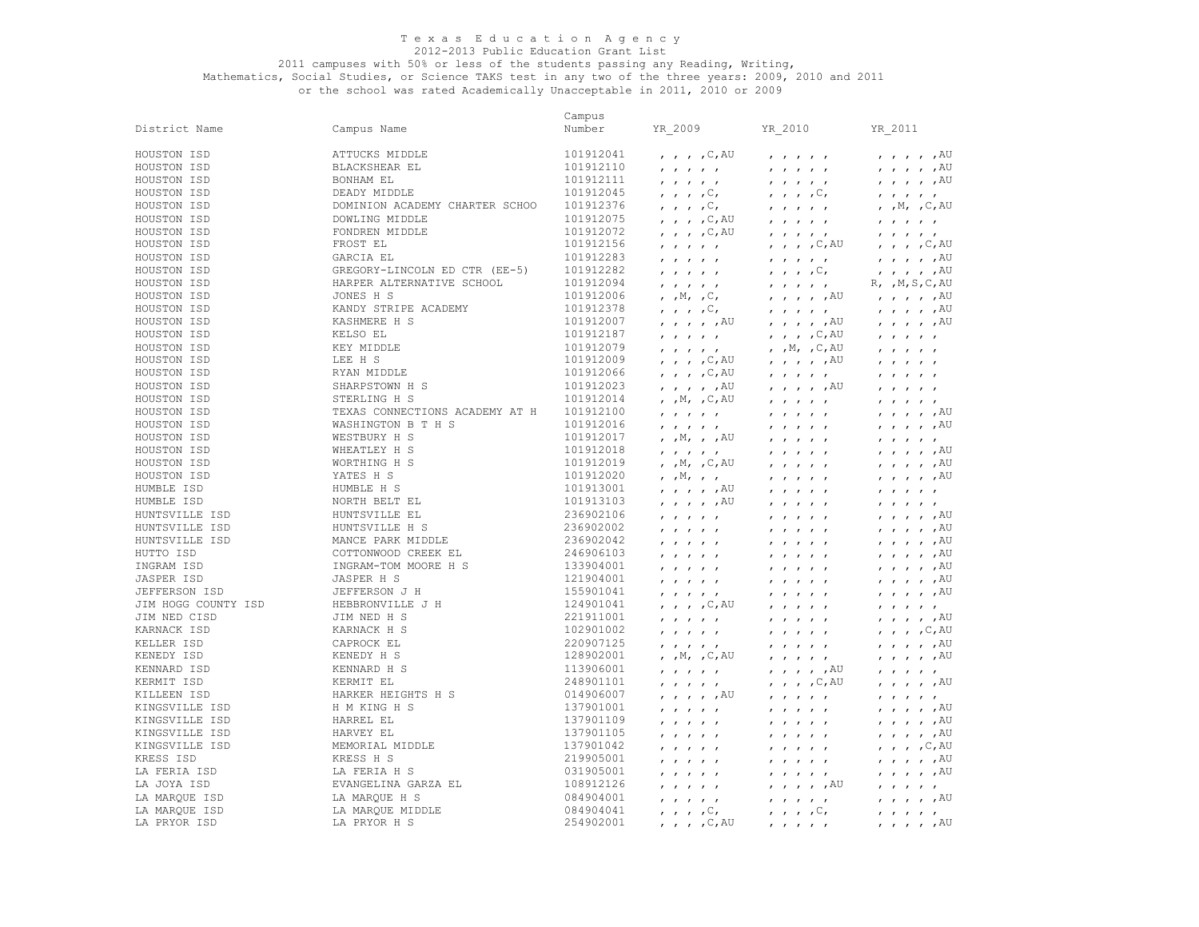## 2011 campuses with 50% or less of the students passing any Reading, Writing,

|                     |                                | Campus    |                                                                                                                 |                                                                              |                                                                                 |
|---------------------|--------------------------------|-----------|-----------------------------------------------------------------------------------------------------------------|------------------------------------------------------------------------------|---------------------------------------------------------------------------------|
| District Name       | Campus Name                    | Number    | YR 2009                                                                                                         | YR 2010                                                                      | YR 2011                                                                         |
| HOUSTON ISD         | ATTUCKS MIDDLE                 | 101912041 | $\mu$ , $\mu$ , $\sim$ , $\sim$ , $\sim$                                                                        | $\mathbf{r}$ $\mathbf{r}$ $\mathbf{r}$ $\mathbf{r}$ $\mathbf{r}$             | $\prime$ , , , , $\overline{A}U$                                                |
| HOUSTON ISD         | BLACKSHEAR EL                  | 101912110 | $\mathbf{r}$ $\mathbf{r}$ $\mathbf{r}$ $\mathbf{r}$ $\mathbf{r}$                                                | $\mathbf{r}$ $\mathbf{r}$ $\mathbf{r}$ $\mathbf{r}$ $\mathbf{r}$             | $, , , , , , A$ U                                                               |
| HOUSTON ISD         | BONHAM EL                      | 101912111 | $\mathbf{r}$ $\mathbf{r}$ $\mathbf{r}$ $\mathbf{r}$                                                             | $\mathbf{r}$ $\mathbf{r}$ $\mathbf{r}$ $\mathbf{r}$ $\mathbf{r}$             | $, , , , , , A$ U                                                               |
| HOUSTON ISD         | DEADY MIDDLE                   | 101912045 | $\cdot$ , , , $\circ$ ,                                                                                         | $\cdot$ , , , $\circ$ ,                                                      | $\mathbf{r}$ $\mathbf{r}$ $\mathbf{r}$ $\mathbf{r}$ $\mathbf{r}$                |
| HOUSTON ISD         | DOMINION ACADEMY CHARTER SCHOO | 101912376 | $\cdot$ , $\cdot$ , $\circ$ ,                                                                                   | $\mathbf{r}$ $\mathbf{r}$ $\mathbf{r}$ $\mathbf{r}$ $\mathbf{r}$             | , $,M$ , $,C$ , AU                                                              |
| HOUSTON ISD         | DOWLING MIDDLE                 | 101912075 | $\mu$ , $\mu$ , $\sim$ , $\sim$ , $\sim$                                                                        | $\mathbf{r}$ $\mathbf{r}$ $\mathbf{r}$ $\mathbf{r}$ $\mathbf{r}$             | $\mathbf{r}$ $\mathbf{r}$ $\mathbf{r}$ $\mathbf{r}$ $\mathbf{r}$                |
| HOUSTON ISD         | FONDREN MIDDLE                 | 101912072 | $\prime$ , $\prime$ , $\sim$ , $\sim$ , $\sim$                                                                  | $\mathbf{r} = \mathbf{r} - \mathbf{r} = \mathbf{r} - \mathbf{r}$             | $\label{eq:2.1} \mathbf{r} = \mathbf{r} - \mathbf{r} = \mathbf{r} - \mathbf{r}$ |
| HOUSTON ISD         | FROST EL                       | 101912156 | $\mathbf{r}$ $\mathbf{r}$ $\mathbf{r}$ $\mathbf{r}$ $\mathbf{r}$                                                | $, \quad, \quad, \quad, \mathbb{C}, \mathbb{AU}$                             | $, , , , , \infty$                                                              |
| HOUSTON ISD         | GARCIA EL                      | 101912283 | $\mathbf{r}$ $\mathbf{r}$ $\mathbf{r}$ $\mathbf{r}$ $\mathbf{r}$                                                | $\mathbf{r}$ $\mathbf{r}$ $\mathbf{r}$ $\mathbf{r}$ $\mathbf{r}$             | $, , , , , , A$ U                                                               |
| HOUSTON ISD         | GREGORY-LINCOLN ED CTR (EE-5)  | 101912282 | $\mathbf{r}$ $\mathbf{r}$ $\mathbf{r}$ $\mathbf{r}$ $\mathbf{r}$                                                | $\mathbf{r}$ , $\mathbf{r}$ , $\mathbf{r}$ , $\mathbf{r}$                    | $, \, , \, , \, , \, ,$ $\mathbb{A} \mathbb{U}$                                 |
| HOUSTON ISD         | HARPER ALTERNATIVE SCHOOL      | 101912094 | $\mathbf{r}$ $\mathbf{r}$ $\mathbf{r}$ $\mathbf{r}$ $\mathbf{r}$                                                | $\mathbf{r}$ $\mathbf{r}$ $\mathbf{r}$ $\mathbf{r}$ $\mathbf{r}$             | $R, \gamma, M, S, C, AU$                                                        |
| HOUSTON ISD         | JONES H S                      | 101912006 | , , $M$ , , $C$ ,                                                                                               | , , , , , AU                                                                 | $\mu$ , $\mu$ , $\mu$ $\sim$                                                    |
| HOUSTON ISD         | KANDY STRIPE ACADEMY           | 101912378 | $\cdot$ , , , $\circ$ ,                                                                                         | $\mathbf{r}$ $\mathbf{r}$ $\mathbf{r}$ $\mathbf{r}$ $\mathbf{r}$             | $, \, , \, , \, , \, ,$ $\mathbb{A} \mathbb{U}$                                 |
| HOUSTON ISD         | KASHMERE H S                   | 101912007 | $, \, , \, , \, , \, ,$ $\mathbb{A} \mathbb{U}$                                                                 | $, \, , \, , \, , \, ,$ $\mathbb{A} \mathbb{U}$                              | $\prime$ , $\prime$ , $\prime$ , $\text{AU}$                                    |
| HOUSTON ISD         | KELSO EL                       | 101912187 |                                                                                                                 | $, \quad, \quad, \quad, \mathbb{C}, \mathbb{AU}$                             |                                                                                 |
| HOUSTON ISD         | KEY MIDDLE                     | 101912079 | $\mathbf{r}$ $\mathbf{r}$ $\mathbf{r}$ $\mathbf{r}$ $\mathbf{r}$                                                | , $,M$ , $,C$ , $AU$                                                         | $\mathbf{r}$ $\mathbf{r}$ $\mathbf{r}$ $\mathbf{r}$ $\mathbf{r}$                |
| HOUSTON ISD         | LEE H S                        | 101912009 | $\mathbf{r}$ $\mathbf{r}$ $\mathbf{r}$ $\mathbf{r}$ $\mathbf{r}$<br>$, \quad , \quad , \quad , \mathbb{C}$ , AU | $\prime$ , $\prime$ , $\prime$ , $\overline{A}U$                             | $\mathbf{r}$ $\mathbf{r}$ $\mathbf{r}$ $\mathbf{r}$ $\mathbf{r}$                |
| HOUSTON ISD         | RYAN MIDDLE                    | 101912066 | $, \, , \, , \, , \, , \, \mathbb{C}$ , AU                                                                      |                                                                              | $\mathbf{r}$ $\mathbf{r}$ $\mathbf{r}$ $\mathbf{r}$                             |
| HOUSTON ISD         | SHARPSTOWN H S                 | 101912023 |                                                                                                                 | $\mathbf{r}$ $\mathbf{r}$ $\mathbf{r}$ $\mathbf{r}$ $\mathbf{r}$             | $\mathbf{r}$ $\mathbf{r}$ $\mathbf{r}$ $\mathbf{r}$ $\mathbf{r}$                |
| HOUSTON ISD         | STERLING H S                   | 101912014 | $, \quad, \quad, \quad, \text{AU}$                                                                              | , , , , , AU                                                                 | $\mathbf{r}$ $\mathbf{r}$ $\mathbf{r}$ $\mathbf{r}$ $\mathbf{r}$                |
| HOUSTON ISD         | TEXAS CONNECTIONS ACADEMY AT H | 101912100 | , $,M$ , $,C$ , AU                                                                                              | $\mathbf{r}$ $\mathbf{r}$ $\mathbf{r}$ $\mathbf{r}$ $\mathbf{r}$             | $\mathbf{r}$ $\mathbf{r}$ $\mathbf{r}$ $\mathbf{r}$ $\mathbf{r}$                |
|                     | WASHINGTON B T H S             |           | $\mathbf{r}$ $\mathbf{r}$ $\mathbf{r}$ $\mathbf{r}$ $\mathbf{r}$                                                | $\mathbf{r}$ $\mathbf{r}$ $\mathbf{r}$ $\mathbf{r}$ $\mathbf{r}$             | $, \; , \; , \; , \; , \;$ AU                                                   |
| HOUSTON ISD         |                                | 101912016 | $\mathbf{r}$ $\mathbf{r}$ $\mathbf{r}$ $\mathbf{r}$                                                             | $\mathbf{r}$ $\mathbf{r}$ $\mathbf{r}$ $\mathbf{r}$ $\mathbf{r}$             | $, , , , , , A$ U                                                               |
| HOUSTON ISD         | WESTBURY H S                   | 101912017 | , , M, , , AU                                                                                                   | $\boldsymbol{r}=\boldsymbol{r}=\boldsymbol{r}=\boldsymbol{r}=\boldsymbol{r}$ | $\mathbf{r}$ $\mathbf{r}$ $\mathbf{r}$ $\mathbf{r}$ $\mathbf{r}$                |
| HOUSTON ISD         | WHEATLEY H S                   | 101912018 | $\mathbf{r}$ $\mathbf{r}$ $\mathbf{r}$ $\mathbf{r}$ $\mathbf{r}$                                                | $\mathbf{r}$ $\mathbf{r}$ $\mathbf{r}$ $\mathbf{r}$ $\mathbf{r}$             | $, \, , \, , \, , \, ,$ $\mathbb{A} \mathbb{U}$                                 |
| HOUSTON ISD         | WORTHING H S                   | 101912019 | $, \, , \mathbb{M}, \, , \mathbb{C}, \mathbb{A} \mathbb{U}$                                                     | $\mathbf{r}$ $\mathbf{r}$ $\mathbf{r}$ $\mathbf{r}$ $\mathbf{r}$             | $, , , , , , A$ U                                                               |
| HOUSTON ISD         | YATES H S                      | 101912020 | $\mathbf{y}$ , $\mathbb{M}$ , $\mathbf{y}$ , $\mathbf{y}$                                                       | $\mathbf{r}$ $\mathbf{r}$ $\mathbf{r}$ $\mathbf{r}$ $\mathbf{r}$             | $, , , , , , A$ U                                                               |
| HUMBLE ISD          | HUMBLE H S                     | 101913001 | $, \, , \, , \, , \, ,$ $\mathbb{A} \mathbb{U}$                                                                 | $\mathbf{r}$ $\mathbf{r}$ $\mathbf{r}$ $\mathbf{r}$ $\mathbf{r}$             | $\mathbf{r}$ $\mathbf{r}$ $\mathbf{r}$ $\mathbf{r}$                             |
| HUMBLE ISD          | NORTH BELT EL                  | 101913103 | $, \, , \, , \, , \, ,$ $\mathbb{A} \mathbb{U}$                                                                 | $\mathbf{r}$ $\mathbf{r}$ $\mathbf{r}$ $\mathbf{r}$ $\mathbf{r}$             | $\mathbf{r}$ $\mathbf{r}$ $\mathbf{r}$ $\mathbf{r}$ $\mathbf{r}$                |
| HUNTSVILLE ISD      | HUNTSVILLE EL                  | 236902106 | $\mathbf{r}$ $\mathbf{r}$ $\mathbf{r}$ $\mathbf{r}$ $\mathbf{r}$                                                | $\mathbf{r}$ $\mathbf{r}$ $\mathbf{r}$ $\mathbf{r}$ $\mathbf{r}$             | $, \, , \, , \, , \, ,$ $\mathbb{A} \mathbb{U}$                                 |
| HUNTSVILLE ISD      | HUNTSVILLE H S                 | 236902002 | $\mathbf{r}$ $\mathbf{r}$ $\mathbf{r}$ $\mathbf{r}$ $\mathbf{r}$                                                | $\mathbf{r}$ $\mathbf{r}$ $\mathbf{r}$ $\mathbf{r}$ $\mathbf{r}$             | $, , , , , , A$ U                                                               |
| HUNTSVILLE ISD      | MANCE PARK MIDDLE              | 236902042 | $\mathbf{r}$ $\mathbf{r}$ $\mathbf{r}$ $\mathbf{r}$ $\mathbf{r}$                                                | $\mathbf{r}$ $\mathbf{r}$ $\mathbf{r}$ $\mathbf{r}$ $\mathbf{r}$             | $, \, , \, , \, , \, ,$ $\mathbb{A} \mathbb{U}$                                 |
| HUTTO ISD           | COTTONWOOD CREEK EL            | 246906103 | $\mathbf{r}$ $\mathbf{r}$ $\mathbf{r}$ $\mathbf{r}$ $\mathbf{r}$                                                | $\mathbf{r}$ $\mathbf{r}$ $\mathbf{r}$ $\mathbf{r}$ $\mathbf{r}$             | $, , , , , , A$ U                                                               |
| INGRAM ISD          | INGRAM-TOM MOORE H S           | 133904001 | $\mathbf{r}$ $\mathbf{r}$ $\mathbf{r}$ $\mathbf{r}$ $\mathbf{r}$                                                | $\mathbf{r}$ $\mathbf{r}$ $\mathbf{r}$ $\mathbf{r}$ $\mathbf{r}$             | $, , , , , , A$ U                                                               |
| JASPER ISD          | JASPER H S                     | 121904001 | $\mathbf{r}$ $\mathbf{r}$ $\mathbf{r}$ $\mathbf{r}$ $\mathbf{r}$                                                | $\mathbf{r}$ $\mathbf{r}$ $\mathbf{r}$ $\mathbf{r}$ $\mathbf{r}$             | $, \, , \, , \, , \, ,$ $\mathbb{A} \mathbb{U}$                                 |
| JEFFERSON ISD       | JEFFERSON J H                  | 155901041 | $\mathbf{r}$ $\mathbf{r}$ $\mathbf{r}$ $\mathbf{r}$                                                             | $\mathbf{r}$ $\mathbf{r}$ $\mathbf{r}$ $\mathbf{r}$ $\mathbf{r}$             | $\mu$ , $\mu$ , $\mu$ $\sim$                                                    |
| JIM HOGG COUNTY ISD | HEBBRONVILLE J H               | 124901041 | $, \, , \, , \, , \, , \mathbb{C}$ , AU                                                                         | $\mathbf{r}$ $\mathbf{r}$ $\mathbf{r}$ $\mathbf{r}$ $\mathbf{r}$             | $\mathbf{r}$ $\mathbf{r}$ $\mathbf{r}$ $\mathbf{r}$ $\mathbf{r}$                |
| JIM NED CISD        | JIM NED H S                    | 221911001 | $\cdot$ $\cdot$ $\cdot$ $\cdot$                                                                                 | $\mathbf{r}$ $\mathbf{r}$ $\mathbf{r}$ $\mathbf{r}$ $\mathbf{r}$             | $, , , , , , A$ U                                                               |
| KARNACK ISD         | KARNACK H S                    | 102901002 | $\mathbf{r}$ $\mathbf{r}$ $\mathbf{r}$ $\mathbf{r}$                                                             | $\mathbf{r}$ $\mathbf{r}$ $\mathbf{r}$ $\mathbf{r}$ $\mathbf{r}$             | $\mu$ , $\mu$ , $\sim$ , $\sim$ , $\sim$                                        |
| KELLER ISD          | CAPROCK EL                     | 220907125 | $\mathbf{r}$ $\mathbf{r}$ $\mathbf{r}$ $\mathbf{r}$ $\mathbf{r}$                                                | $\mathbf{r} = \mathbf{r} - \mathbf{r} = \mathbf{r} - \mathbf{r}$             | $, , , , , , A$ U                                                               |
| KENEDY ISD          | KENEDY H S                     | 128902001 | , $,M$ , $,C$ , $AU$                                                                                            | $\mathbf{r}$ $\mathbf{r}$ $\mathbf{r}$ $\mathbf{r}$ $\mathbf{r}$             | $, , , , , , A$ U                                                               |
| KENNARD ISD         | KENNARD H S                    | 113906001 | $\mathbf{r}$ $\mathbf{r}$ $\mathbf{r}$ $\mathbf{r}$ $\mathbf{r}$                                                | , , , , , AU                                                                 | $\mathbf{r}$ $\mathbf{r}$ $\mathbf{r}$ $\mathbf{r}$ $\mathbf{r}$                |
| KERMIT ISD          | KERMIT EL                      | 248901101 | $\mathbf{r}$ $\mathbf{r}$ $\mathbf{r}$ $\mathbf{r}$ $\mathbf{r}$                                                | $, \quad, \quad, \quad, \mathbb{C}, \mathbb{AU}$                             | $, \; , \; , \; , \; , \;$                                                      |
| KILLEEN ISD         | HARKER HEIGHTS H S             | 014906007 | , , , , , AU                                                                                                    | $\mathbf{r}$ $\mathbf{r}$ $\mathbf{r}$ $\mathbf{r}$ $\mathbf{r}$             | $\mathbf{r}$ $\mathbf{r}$ $\mathbf{r}$ $\mathbf{r}$                             |
| KINGSVILLE ISD      | H M KING H S                   | 137901001 | $\mathbf{r}$ $\mathbf{r}$ $\mathbf{r}$ $\mathbf{r}$ $\mathbf{r}$                                                | $\mathbf{r}$ $\mathbf{r}$ $\mathbf{r}$ $\mathbf{r}$ $\mathbf{r}$             | $, \; , \; , \; , \; , \;$                                                      |
| KINGSVILLE ISD      | HARREL EL                      | 137901109 | $\mathbf{r}$ $\mathbf{r}$ $\mathbf{r}$ $\mathbf{r}$ $\mathbf{r}$                                                | $\mathbf{r}$ $\mathbf{r}$ $\mathbf{r}$ $\mathbf{r}$ $\mathbf{r}$             | $\prime$ $\prime$ $\prime$ $\prime$ $\prime$ $\lambda$ U                        |
| KINGSVILLE ISD      | HARVEY EL                      | 137901105 | $\mathbf{r}$ $\mathbf{r}$ $\mathbf{r}$ $\mathbf{r}$                                                             | $\mathbf{r}$ $\mathbf{r}$ $\mathbf{r}$ $\mathbf{r}$ $\mathbf{r}$             | $, \, , \, , \, , \, ,$ $\mathbb{A} \mathbb{U}$                                 |
| KINGSVILLE ISD      | MEMORIAL MIDDLE                | 137901042 | $\mathbf{r}$ $\mathbf{r}$ $\mathbf{r}$ $\mathbf{r}$ $\mathbf{r}$                                                | $\mathbf{r}$ $\mathbf{r}$ $\mathbf{r}$ $\mathbf{r}$ $\mathbf{r}$             | $, \quad , \quad , \quad , \mathbb{C}$ , AU                                     |
| KRESS ISD           | KRESS H S                      | 219905001 | $\mathbf{r}$ $\mathbf{r}$ $\mathbf{r}$ $\mathbf{r}$ $\mathbf{r}$                                                | $\mathbf{r}$ $\mathbf{r}$ $\mathbf{r}$ $\mathbf{r}$ $\mathbf{r}$             | $, , , , , , A$ U                                                               |
| LA FERIA ISD        | LA FERIA H S                   | 031905001 | $\mathbf{r}$ $\mathbf{r}$ $\mathbf{r}$ $\mathbf{r}$ $\mathbf{r}$                                                | $\mathbf{r}$ $\mathbf{r}$ $\mathbf{r}$ $\mathbf{r}$ $\mathbf{r}$             | , , , , , ,                                                                     |
| LA JOYA ISD         | EVANGELINA GARZA EL            | 108912126 | $\mathbf{r}$ $\mathbf{r}$ $\mathbf{r}$ $\mathbf{r}$                                                             | $, \, , \, , \, , \, ,$ $\mathbb{A} \mathbb{U}$                              | $\mathbf{r}$ $\mathbf{r}$ $\mathbf{r}$ $\mathbf{r}$                             |
| LA MAROUE ISD       | LA MARQUE H S                  | 084904001 | $\mathbf{r}$ $\mathbf{r}$ $\mathbf{r}$ $\mathbf{r}$ $\mathbf{r}$                                                | $\mathbf{r}$ $\mathbf{r}$ $\mathbf{r}$ $\mathbf{r}$ $\mathbf{r}$             | $, \, , \, , \, , \, ,$ $\mathbb{A} \mathbb{U}$                                 |
| LA MARQUE ISD       | LA MARQUE MIDDLE               | 084904041 | $\, \cdot \,$ , , , $\circ$ ,                                                                                   |                                                                              | $\mathbf{r}$ $\mathbf{r}$ $\mathbf{r}$ $\mathbf{r}$                             |
| LA PRYOR ISD        | LA PRYOR H S                   | 254902001 | $\mu$ , $\mu$ , $\sim$ , $\sim$ , $\sim$                                                                        | $\mathbf{r}$ $\mathbf{r}$ $\mathbf{r}$ $\mathbf{r}$ $\mathbf{r}$             | $, \, , \, , \, , \, ,$ $\mathbb{A} \mathbb{U}$                                 |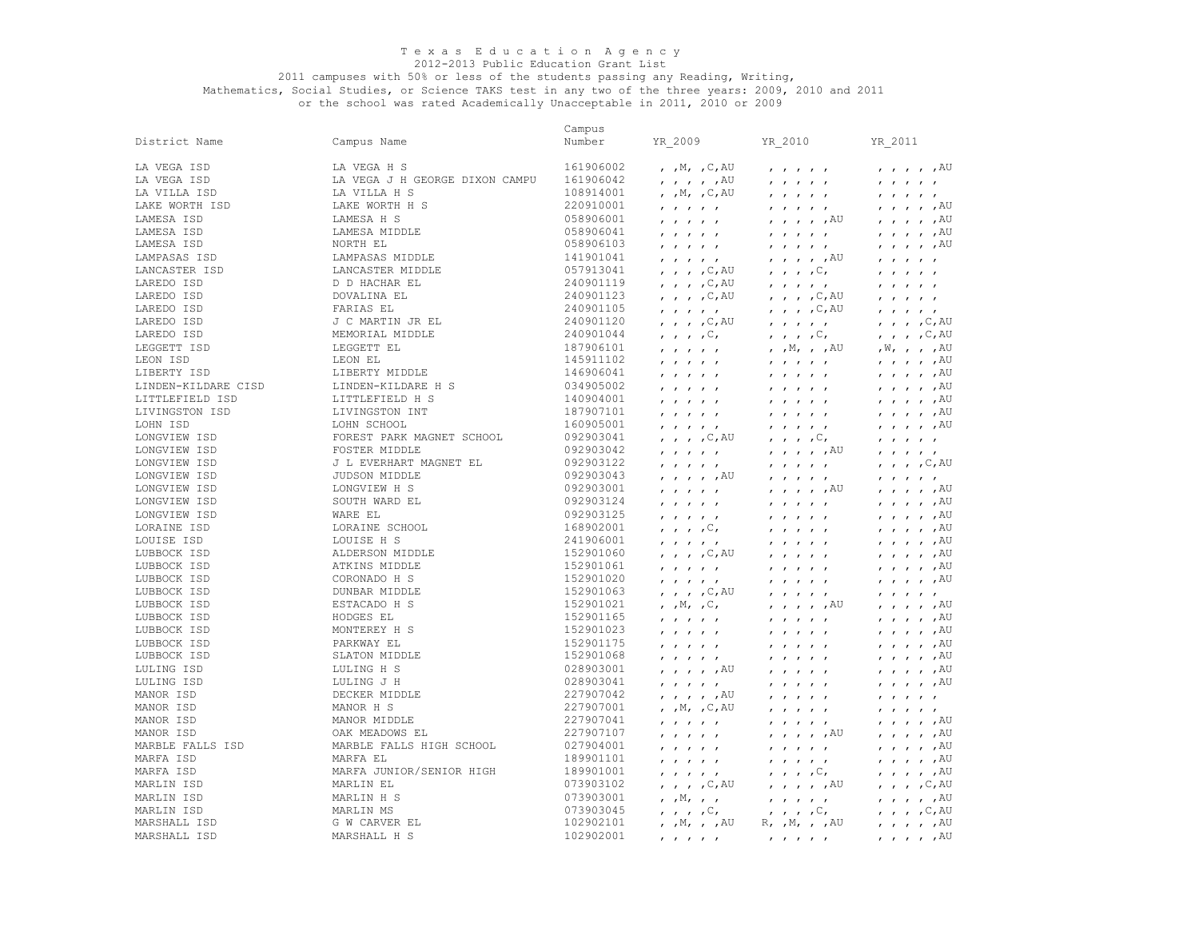#### 2012-2013 Public Education Grant List

#### 2011 campuses with 50% or less of the students passing any Reading, Writing,

Mathematics, Social Studies, or Science TAKS test in any two of the three years: 2009, 2010 and 2011 or the school was rated Academically Unacceptable in 2011, 2010 or 2009

161906042 LAMESA ISD LAMESA ISD LAMESA ISD LAMPASAS ISD LANCASTER ISD LAREDO ISD LEON ISD LIBERTY ISD LIBERTY MIDDLE 146906041 , , , , , , , , , , , , , , ,AU LITTLEFIELD H S LORAINE ISD LOUISE ISD<br>LUBBOCK ISD 152901061<br>152901020 LUBBOCK ISD DUNBAR MIDDLE 152901063 , , , ,C,AU , , , , , , , , , , MANOR H S MANOR ISD MARFA ISD MARSHALL H S Campus District Name Campus Name Number YR\_2009 YR\_2010 YR\_2011 LA VEGA ISD LA VEGA H S 161906002 , ,M, ,C,AU , , , , , , , , , ,AU LA VEGA ISD LA VEGA J H GEORGE DIXON CAMPU 161906042 , , , , ,AU , , , , , , , , , , LA VILLA ISD LA VILLA H S 108914001 , ,M, ,C,AU , , , , , , , , , , LAKE WORTH ISD LAKE WORTH H S 220910001 , , , , , , , , , , , , , , ,AU LAMESA ISD LAMESA H S 058906001 , , , , , , , , , ,AU , , , , ,AU LAMESA ISD LAMESA MIDDLE 058906041 , , , , , , , , , , , , , , ,AU LAMESA ISD NORTH EL 058906103 , , , , , , , , , , , , , , ,AU LAMPASAS ISD LAMPASAS MIDDLE 141901041 , , , , , , , , , ,AU , , , , , LANCASTER ISD LANCASTER MIDDLE 057913041 , , , ,C,AU , , , ,C, , , , , , LAREDO ISD D D HACHAR EL 240901119 , , , , C,AU , , , , , , , , , , , , , LAREDO ISD DOVALINA EL 240901123 , , , ,C,AU , , , ,C,AU , , , , , LAREDO ISD FARIAS EL 240901105 , , , , , , , , ,C,AU , , , , , LAREDO ISD J C MARTIN JR EL 240901120 , , , , C,AU , , , , , , , , , , , C,AU LAREDO ISD MEMORIAL MIDDLE 240901044 , , , ,C, , , , ,C, , , , ,C,AU LEGGETT ISD LEGGETT EL 187906101 , , , , , , ,M, , ,AU ,W, , , ,AU LEON ISD LEON EL 145911102 , , , , , , , , , , , , , , ,AU LINDEN-KILDARE CISD LINDEN-KILDARE H S 034905002 , , , , , , , , , , , , , , ,AU  $140904001$  , , , , , , , , , , , LIVINGSTON ISD LIVINGSTON INT 187907101 , , , , , , , , , , , , , , ,AU LOHN ISD LOHN SCHOOL 160905001 , , , , , , , , , , , , , , ,AU LONGVIEW ISD FOREST PARK MAGNET SCHOOL 092903041 , , , ,C,AU , , , ,C, , , , , , LONGVIEW ISD FOSTER MIDDLE 092903042 , , , , , , , , , ,AU , , , , , LONGVIEW ISD J L EVERHART MAGNET EL 092903122 , , , , , , , , , , , , , ,C,AU LONGVIEW ISD JUDSON MIDDLE 092903043 , , , , ,AU , , , , , , , , , , LONGVIEW ISD LONGVIEW H S 092903001 , , , , , , , , , ,AU , , , , ,AU LONGVIEW ISD SOUTH WARD EL 092903124 , , , , , , , , , , , , , , ,AU لا الله الله الله بن الله بن الله الله الله عليه الله عليه الله عليه الله عليه الله عليه الله عليه الله عليه ا<br>الله عليه الله عليه الله عليه الله عليه الله عليه الله عليه الله عليه الله عليه الله عليه الله عليه الله عليه<br> LORAINE ISD LORAINE SCHOOL 168902001 , , , ,C, , , , , , , , , , ,AU LOUISE ISD LOUISE H S 241906001 , , , , , , , , , , , , , , ,AU LUBBOCK ISD ALDERSON MIDDLE 152901060 , , , ,C,AU , , , , , , , , , ,AU LUBBOCK ISD ATKINS MIDDLE 152901061 , , , , , , , , , , , , , , ,AU LUBBOCK ISD CORONADO H S 152901020 , , , , , , , , , , , , , , ,AU LUBBOCK ISD ESTACADO H S 152901021 , ,M, ,C, , , , , ,AU , , , , ,AU LUBBOCK ISD HODGES EL 152901165 , , , , , , , , , , , , , , ,AU LUBBOCK ISD MONTEREY H S 152901023 , , , , , , , , , , , , , , ,AU LUBBOCK ISD PARKWAY EL 152901175 , , , , , , , , , , , , , , ,AU LUBBOCK ISD SLATON MIDDLE 152901068 , , , , , , , , , , , , , , ,AU LULING ISD LULING H S 028903001 , , , , ,AU , , , , , , , , , ,AU LULING ISD LULING J H 028903041 , , , , , , , , , , , , , , ,AU MANOR ISD DECKER MIDDLE 227907042 , , , , ,AU , , , , , , , , , , MANOR ISD MANOR H S 227907001 , ,M, ,C,AU , , , , , , , , , , MANOR ISD MANOR MIDDLE 227907041 , , , , , , , , , , , , , , ,AU MANOR ISD OAK MEADOWS EL 227907107 , , , , , , , , , ,AU , , , , ,AU MARBLE FALLS ISD MARBLE FALLS HIGH SCHOOL 027904001 , , , , , , , , , , , , , , ,AU MARFA ISD MARFA EL 189901101 , , , , , , , , , , , , , , ,AU MARFA ISD MARFA JUNIOR/SENIOR HIGH 189901001 , , , , , , , , ,C, , , , , ,AU MARLIN ISD MARLIN EL 073903102 , , , ,C,AU , , , , ,AU , , , ,C,AU MARLIN ISD MARLIN H S 073903001 , ,M, , , , , , , , , , , , ,AU MARLIN ISD MARLIN MS 073903045 , , , ,C, , , , ,C, , , , ,C,AU MARSHALL ISD G W CARVER EL 102902101 , ,M, , ,AU R, ,M, , ,AU , , , , ,AU MARSHALL ISD MARSHALL H S 102902001 , , , , , , , , , , , , , , ,AU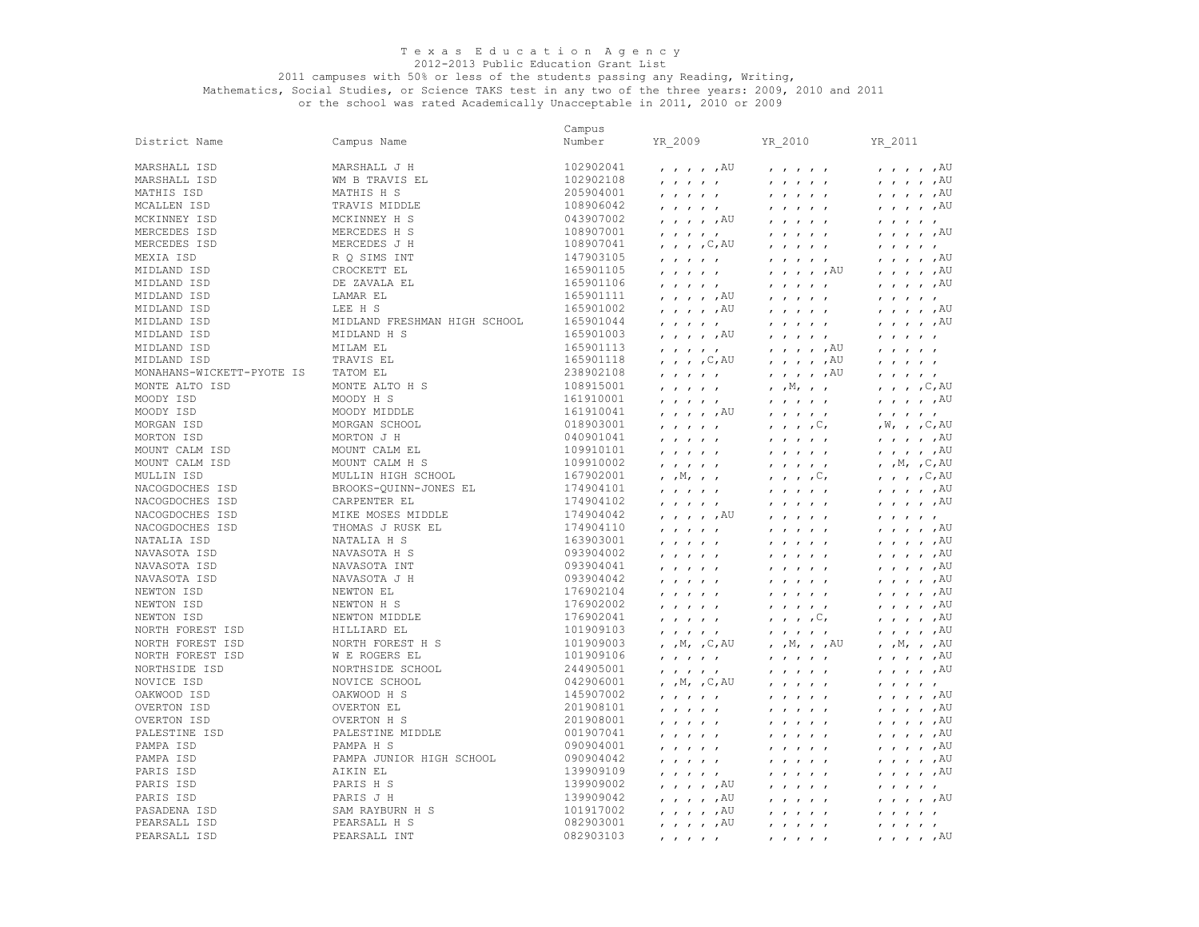## 2012-2013 Public Education Grant List

#### 2011 campuses with 50% or less of the students passing any Reading, Writing,

Mathematics, Social Studies, or Science TAKS test in any two of the three years: 2009, 2010 and 2011

or the school was rated Academically Unacceptable in 2011, 2010 or 2009

|                           |                              | Campus    |                                                                          |                                                                                                                                      |                                                                          |
|---------------------------|------------------------------|-----------|--------------------------------------------------------------------------|--------------------------------------------------------------------------------------------------------------------------------------|--------------------------------------------------------------------------|
| District Name             | Campus Name                  | Number    | YR 2009                                                                  | YR 2010                                                                                                                              | YR 2011                                                                  |
|                           |                              |           |                                                                          |                                                                                                                                      |                                                                          |
| MARSHALL ISD              | MARSHALL J H                 | 102902041 | $, \, , \, , \, , \, ,$ $\mathbb{A} \mathbb{U}$                          | $\mathbf{r}$ $\mathbf{r}$ $\mathbf{r}$ $\mathbf{r}$ $\mathbf{r}$                                                                     | $\prime$ $\prime$ $\prime$ $\prime$ $\prime$ $\lambda$ U                 |
| MARSHALL ISD              | WM B TRAVIS EL               | 102902108 | $\mathbf{r}$ $\mathbf{r}$ $\mathbf{r}$ $\mathbf{r}$ $\mathbf{r}$         | $\mathbf{r}$ $\mathbf{r}$ $\mathbf{r}$ $\mathbf{r}$ $\mathbf{r}$                                                                     | $, , , , , , A$ U                                                        |
| MATHIS ISD                | MATHIS H S                   | 205904001 | $\mathbf{r}$ $\mathbf{r}$ $\mathbf{r}$ $\mathbf{r}$                      | $\mathbf{r}$ $\mathbf{r}$ $\mathbf{r}$ $\mathbf{r}$ $\mathbf{r}$                                                                     | $\mu$ , $\mu$ , $\mu$ $\sim$                                             |
| MCALLEN ISD               | TRAVIS MIDDLE                | 108906042 | $\mathbf{r}$ $\mathbf{r}$ $\mathbf{r}$ $\mathbf{r}$ $\mathbf{r}$         | $\mathbf{r}$ $\mathbf{r}$ $\mathbf{r}$ $\mathbf{r}$ $\mathbf{r}$                                                                     | $, , , , , , A$ U                                                        |
| MCKINNEY ISD              | MCKINNEY H S                 | 043907002 | $, \, , \, , \, , \, ,$ $\mathbb{A} \mathbb{U}$                          | $\mathbf{r}$ $\mathbf{r}$ $\mathbf{r}$ $\mathbf{r}$ $\mathbf{r}$                                                                     | $\mathbf{r}$ $\mathbf{r}$ $\mathbf{r}$ $\mathbf{r}$                      |
| MERCEDES ISD              | MERCEDES H S                 | 108907001 | $\mathbf{r}$ and $\mathbf{r}$ and $\mathbf{r}$ and $\mathbf{r}$          | $\mathbf{r}$ $\mathbf{r}$ $\mathbf{r}$ $\mathbf{r}$                                                                                  | $, \, , \, , \, , \, ,$ $\mathbb{A} \cup$                                |
| MERCEDES ISD              | MERCEDES J H                 | 108907041 | $, \, , \, , \, , \, C,$ AU                                              | $\mathbf{r}$ $\mathbf{r}$ $\mathbf{r}$ $\mathbf{r}$ $\mathbf{r}$                                                                     | $\mathbf{r}$ $\mathbf{r}$ $\mathbf{r}$ $\mathbf{r}$ $\mathbf{r}$         |
| MEXIA ISD                 | R Q SIMS INT                 | 147903105 | $\mathbf{r}$ $\mathbf{r}$ $\mathbf{r}$ $\mathbf{r}$ $\mathbf{r}$         | $\mathbf{r}$ $\mathbf{r}$ $\mathbf{r}$ $\mathbf{r}$ $\mathbf{r}$                                                                     | $, \, , \, , \, , \, ,$ $\mathbb{A} \mathbb{U}$                          |
| MIDLAND ISD               | CROCKETT EL                  | 165901105 | $\mathbf{r}$ $\mathbf{r}$ $\mathbf{r}$ $\mathbf{r}$ $\mathbf{r}$         | , , , , , AU                                                                                                                         | $, , , , , , A$ U                                                        |
| MIDLAND ISD               | DE ZAVALA EL                 | 165901106 | $\mathbf{r}$ $\mathbf{r}$ $\mathbf{r}$ $\mathbf{r}$ $\mathbf{r}$         | $\mathbf{r}$ $\mathbf{r}$ $\mathbf{r}$ $\mathbf{r}$ $\mathbf{r}$                                                                     | $, , , , , , A$ U                                                        |
| MIDLAND ISD               | LAMAR EL                     | 165901111 | $, \, , \, , \, , \, ,$ $^{\rm AU}$                                      | $\mathbf{r}$ $\mathbf{r}$ $\mathbf{r}$ $\mathbf{r}$ $\mathbf{r}$                                                                     | $\mathbf{r}$ $\mathbf{r}$ $\mathbf{r}$ $\mathbf{r}$ $\mathbf{r}$         |
| MIDLAND ISD               | LEE H S                      | 165901002 | $, \, , \, , \, , \, ,$ $\mathbb{A} \mathbb{U}$                          | 1 1 1 1 1                                                                                                                            | $, \quad , \quad , \quad , \quad ,$ AU                                   |
| MIDLAND ISD               | MIDLAND FRESHMAN HIGH SCHOOL | 165901044 | $\mathbf{r}$ , $\mathbf{r}$ , $\mathbf{r}$ , $\mathbf{r}$ , $\mathbf{r}$ | $\mathbf{r}$ $\mathbf{r}$ $\mathbf{r}$ $\mathbf{r}$ $\mathbf{r}$                                                                     | $, , , , , , A$ U                                                        |
| MIDLAND ISD               | MIDLAND H S                  | 165901003 | $, , , , , ,$ $\land$ $\uparrow$                                         | $\qquad \qquad \qquad \qquad$                                                                                                        | $\mathbf{r}$ $\mathbf{r}$ $\mathbf{r}$ $\mathbf{r}$                      |
| MIDLAND ISD               | MILAM EL                     | 165901113 | $\mathbf{r}$ and $\mathbf{r}$ and $\mathbf{r}$ and $\mathbf{r}$          | $, \, , \, , \, , \, ,$ $\mathbb{A} \mathbb{U}$                                                                                      | $\mathbf{r}$ $\mathbf{r}$ $\mathbf{r}$ $\mathbf{r}$ $\mathbf{r}$         |
| MIDLAND ISD               | TRAVIS EL                    | 165901118 | $, \, , \, , \, , \, , \, \mathbb{C}$ , AU                               | $, , , , , , A$ U                                                                                                                    | $\mathbf{r}$ $\mathbf{r}$ $\mathbf{r}$ $\mathbf{r}$ $\mathbf{r}$         |
| MONAHANS-WICKETT-PYOTE IS | TATOM EL                     | 238902108 | $\mathbf{r}$ $\mathbf{r}$ $\mathbf{r}$ $\mathbf{r}$                      | $, \, , \, , \, , \, ,$ $\mathbb{A} \mathbb{U}$                                                                                      | $\mathbf{r}$ $\mathbf{r}$ $\mathbf{r}$ $\mathbf{r}$ $\mathbf{r}$         |
| MONTE ALTO ISD            | MONTE ALTO H S               | 108915001 | $\mathbf{r}$ $\mathbf{r}$ $\mathbf{r}$ $\mathbf{r}$ $\mathbf{r}$         | $, \, , \mathbb{M}, \, , \, , \,$                                                                                                    | $, , , , , \infty$                                                       |
| MOODY ISD                 | MOODY H S                    | 161910001 | $\mathbf{r}$ $\mathbf{r}$ $\mathbf{r}$ $\mathbf{r}$ $\mathbf{r}$         | $\mathbf{r}$ $\mathbf{r}$ $\mathbf{r}$ $\mathbf{r}$ $\mathbf{r}$                                                                     | $, \, , \, , \, , \, ,$ $\mathbb{A} \mathbb{U}$                          |
| MOODY ISD                 | MOODY MIDDLE                 | 161910041 | $, \, , \, , \, , \, ,$ $\mathbb{A} \mathbb{U}$                          | $\mathbf{r}$ $\mathbf{r}$ $\mathbf{r}$ $\mathbf{r}$ $\mathbf{r}$                                                                     | $\mathbf{r}$ $\mathbf{r}$ $\mathbf{r}$ $\mathbf{r}$                      |
| MORGAN ISD                | MORGAN SCHOOL                | 018903001 | $\qquad \qquad \qquad \qquad$                                            | $\cdot$ , , , $\circ$ ,                                                                                                              | , W, , , C, AU                                                           |
| MORTON ISD                | MORTON J H                   | 040901041 | $\mathbf{r}$ $\mathbf{r}$ $\mathbf{r}$ $\mathbf{r}$ $\mathbf{r}$         | $\mathbf{r}$ $\mathbf{r}$ $\mathbf{r}$ $\mathbf{r}$ $\mathbf{r}$                                                                     | $\prime$ $\prime$ $\prime$ $\prime$ $\prime$ $\lambda$ U                 |
| MOUNT CALM ISD            | MOUNT CALM EL                | 109910101 | $\mathbf{r}$ $\mathbf{r}$ $\mathbf{r}$ $\mathbf{r}$ $\mathbf{r}$         | $\mathbf{r}$ $\mathbf{r}$ $\mathbf{r}$ $\mathbf{r}$ $\mathbf{r}$                                                                     | $, \, , \, , \, , \, ,$ $\mathbb{A} \mathbb{U}$                          |
| MOUNT CALM ISD            | MOUNT CALM H S               | 109910002 | $\mathbf{r}$ $\mathbf{r}$ $\mathbf{r}$ $\mathbf{r}$                      | $\mathbf{r}$ $\mathbf{r}$ $\mathbf{r}$ $\mathbf{r}$ $\mathbf{r}$                                                                     | , $,M$ , $,C$ , AU                                                       |
| MULLIN ISD                | MULLIN HIGH SCHOOL           | 167902001 | $, \, , \mathbb{M}, \, , \, , \,$                                        | $\ldots$ , $\mathbb{C}$ ,                                                                                                            | $, , , , , \infty$                                                       |
| NACOGDOCHES ISD           | BROOKS-QUINN-JONES EL        | 174904101 | $\mathbf{r}$ $\mathbf{r}$ $\mathbf{r}$ $\mathbf{r}$ $\mathbf{r}$         | $\mathbf{r}$ $\mathbf{r}$ $\mathbf{r}$ $\mathbf{r}$ $\mathbf{r}$                                                                     | $, \, , \, , \, , \, ,$ $\,$ $\mathbb{A}^{\mathbb{U}}$                   |
| NACOGDOCHES ISD           | CARPENTER EL                 | 174904102 | $\mathbf{r}$ $\mathbf{r}$ $\mathbf{r}$ $\mathbf{r}$ $\mathbf{r}$         | $\mathbf{r}$ $\mathbf{r}$ $\mathbf{r}$ $\mathbf{r}$ $\mathbf{r}$                                                                     | $, , , , , , A$ U                                                        |
| NACOGDOCHES ISD           | MIKE MOSES MIDDLE            | 174904042 | , , , , , AU                                                             | $\mathbf{r}$ $\mathbf{r}$ $\mathbf{r}$ $\mathbf{r}$ $\mathbf{r}$                                                                     | $\mathbf{r}$ $\mathbf{r}$ $\mathbf{r}$ $\mathbf{r}$ $\mathbf{r}$         |
| NACOGDOCHES ISD           | THOMAS J RUSK EL             | 174904110 | $\mathbf{r}$ $\mathbf{r}$ $\mathbf{r}$ $\mathbf{r}$ $\mathbf{r}$         |                                                                                                                                      | $, \, , \, , \, , \, ,$ $\mathbb{A} \mathbb{U}$                          |
| NATALIA ISD               | NATALIA H S                  | 163903001 | $\mathbf{r}$ $\mathbf{r}$ $\mathbf{r}$ $\mathbf{r}$ $\mathbf{r}$         | $1$ $1$ $1$ $1$ $1$                                                                                                                  | $, \, , \, , \, , \, ,$ $\mathbb{A}U$                                    |
| NAVASOTA ISD              | NAVASOTA H S                 | 093904002 | $\mathbf{r}$ $\mathbf{r}$ $\mathbf{r}$ $\mathbf{r}$ $\mathbf{r}$         | $\mathbf{r}$ $\mathbf{r}$ $\mathbf{r}$ $\mathbf{r}$ $\mathbf{r}$                                                                     | $\prime$ , $\prime$ , $\prime$ , $\overline{A}U$                         |
| NAVASOTA ISD              | NAVASOTA INT                 | 093904041 | $\mathbf{r}$ $\mathbf{r}$ $\mathbf{r}$ $\mathbf{r}$ $\mathbf{r}$         |                                                                                                                                      | $, \, , \, , \, , \, ,$ $\mathbb{A} \mathbb{U}$                          |
| NAVASOTA ISD              | NAVASOTA J H                 | 093904042 | $\mathbf{r}$ $\mathbf{r}$ $\mathbf{r}$ $\mathbf{r}$ $\mathbf{r}$         | $\mathbf{r}$ $\mathbf{r}$ $\mathbf{r}$ $\mathbf{r}$ $\mathbf{r}$                                                                     | , , , , , ,                                                              |
| NEWTON ISD                | NEWTON EL                    | 176902104 | $\mathbf{r}$ $\mathbf{r}$ $\mathbf{r}$ $\mathbf{r}$ $\mathbf{r}$         | $\mathbf{r}$ $\mathbf{r}$ $\mathbf{r}$ $\mathbf{r}$ $\mathbf{r}$                                                                     | $, , , , , , A$ U                                                        |
| NEWTON ISD                | NEWTON H S                   | 176902002 | $\mathbf{r}$ $\mathbf{r}$ $\mathbf{r}$ $\mathbf{r}$ $\mathbf{r}$         | $\mathbf{r}$ $\mathbf{r}$ $\mathbf{r}$ $\mathbf{r}$ $\mathbf{r}$                                                                     | $\mu$ , $\mu$ , $\mu$ $\sim$                                             |
| NEWTON ISD                | NEWTON MIDDLE                | 176902041 | $\mathbf{r}$ $\mathbf{r}$ $\mathbf{r}$ $\mathbf{r}$ $\mathbf{r}$         | $\mathbf{r}$ , $\mathbf{r}$ , $\mathbf{r}$ , $\mathbf{r}$                                                                            | $\mu$ , $\mu$ , $\mu$ $\sim$                                             |
| NORTH FOREST ISD          | HILLIARD EL                  | 101909103 | $\mathbf{r}$ $\mathbf{r}$ $\mathbf{r}$ $\mathbf{r}$ $\mathbf{r}$         | $\mathbf{r}$ $\mathbf{r}$ $\mathbf{r}$ $\mathbf{r}$ $\mathbf{r}$                                                                     | $, , , , , , A$ U                                                        |
| NORTH FOREST ISD          | NORTH FOREST H S             | 101909003 | , $,M$ , $,C$ , AU                                                       | $, , M, , , A$ U                                                                                                                     | $, , M, , , A$ U                                                         |
| NORTH FOREST ISD          | W E ROGERS EL                | 101909106 | $\mathbf{r}=\mathbf{r}=\mathbf{r}=\mathbf{r}=\mathbf{r}$                 | $\mathbf{r}$ $\mathbf{r}$ $\mathbf{r}$ $\mathbf{r}$ $\mathbf{r}$                                                                     | $, \, , \, , \, , \, ,$ $\mathbb{A} \mathbb{U}$                          |
| NORTHSIDE ISD             | NORTHSIDE SCHOOL             | 244905001 | $\mathbf{r}$ $\mathbf{r}$ $\mathbf{r}$ $\mathbf{r}$ $\mathbf{r}$         | $\mathbf{r}$ $\mathbf{r}$ $\mathbf{r}$ $\mathbf{r}$ $\mathbf{r}$                                                                     | $, , , , , , A$ U                                                        |
| NOVICE ISD                | NOVICE SCHOOL                | 042906001 | , $,M$ , $,C$ , AU                                                       | $\mathbf{r}$ $\mathbf{r}$ $\mathbf{r}$ $\mathbf{r}$ $\mathbf{r}$                                                                     | $\mathbf{r}$ $\mathbf{r}$ $\mathbf{r}$ $\mathbf{r}$                      |
| OAKWOOD ISD               | OAKWOOD H S                  | 145907002 | $\mathbf{r}$ $\mathbf{r}$ $\mathbf{r}$ $\mathbf{r}$ $\mathbf{r}$         | $\mathbf{r}$ $\mathbf{r}$ $\mathbf{r}$ $\mathbf{r}$ $\mathbf{r}$                                                                     | $, \, , \, , \, , \, ,$ $\mathbb{A} \mathbb{U}$                          |
| OVERTON ISD               | OVERTON EL                   | 201908101 | $\mathbf{r}$ $\mathbf{r}$ $\mathbf{r}$ $\mathbf{r}$ $\mathbf{r}$         | $\mathbf{r}$ $\mathbf{r}$ $\mathbf{r}$ $\mathbf{r}$ $\mathbf{r}$                                                                     | $\prime$ , $\prime$ , $\prime$ , $\overline{A}U$                         |
| OVERTON ISD               | OVERTON H S                  | 201908001 | $\mathbf{r}$ $\mathbf{r}$ $\mathbf{r}$ $\mathbf{r}$ $\mathbf{r}$         | $\mathbf{r}$ $\mathbf{r}$ $\mathbf{r}$ $\mathbf{r}$ $\mathbf{r}$                                                                     | $, , , , , , A$ U                                                        |
| PALESTINE ISD             | PALESTINE MIDDLE             | 001907041 | $\mathbf{r}$ $\mathbf{r}$ $\mathbf{r}$ $\mathbf{r}$ $\mathbf{r}$         | $\mathbf{r}$ $\mathbf{r}$ $\mathbf{r}$ $\mathbf{r}$ $\mathbf{r}$                                                                     | $, \, , \, , \, , \, ,$ $\mathbb{A}U$                                    |
| PAMPA ISD                 | PAMPA H S                    | 090904001 | $\mathbf{r}$ $\mathbf{r}$ $\mathbf{r}$ $\mathbf{r}$ $\mathbf{r}$         | $\mathbf{r}$ $\mathbf{r}$ $\mathbf{r}$ $\mathbf{r}$ $\mathbf{r}$                                                                     | $\prime$ $\prime$ $\prime$ $\prime$ $\prime$ $\lambda$ U                 |
| PAMPA ISD                 | PAMPA JUNIOR HIGH SCHOOL     | 090904042 | $\mathbf{r}$ $\mathbf{r}$ $\mathbf{r}$ $\mathbf{r}$ $\mathbf{r}$         |                                                                                                                                      | $, \, , \, , \, , \, ,$ $\mathbb{A} \mathbb{U}$                          |
| PARIS ISD                 | AIKIN EL                     | 139909109 | $\mathbf{r}$ $\mathbf{r}$ $\mathbf{r}$ $\mathbf{r}$                      | $\mathbf{r}$ $\mathbf{r}$ $\mathbf{r}$ $\mathbf{r}$ $\mathbf{r}$<br>$\mathbf{r}$ $\mathbf{r}$ $\mathbf{r}$ $\mathbf{r}$ $\mathbf{r}$ | $\prime$ , $\prime$ , $\prime$ , $\text{AU}$                             |
| PARIS ISD                 | PARIS H S                    | 139909002 | $, \, , \, , \, , \, ,$ $\mathbb{A} \mathbb{U}$                          | $\mathbf{r}$ $\mathbf{r}$ $\mathbf{r}$ $\mathbf{r}$ $\mathbf{r}$                                                                     | $\mathbf{r}$ $\mathbf{r}$ $\mathbf{r}$ $\mathbf{r}$ $\mathbf{r}$         |
| PARIS ISD                 | PARIS J H                    | 139909042 | $, \, , \, , \, , \, ,$ $\mathbb{A} \mathbb{U}$                          |                                                                                                                                      | $, \, , \, , \, , \, ,$ $\mathbb{A} \mathbb{U}$                          |
| PASADENA ISD              | SAM RAYBURN H S              | 101917002 | $, \, \, , \, \, , \, \, , \, \, , \,$ $^{\rm AU}$                       | $\mathbf{r}$ $\mathbf{r}$ $\mathbf{r}$ $\mathbf{r}$ $\mathbf{r}$<br>$\mathbf{r}$ $\mathbf{r}$ $\mathbf{r}$ $\mathbf{r}$ $\mathbf{r}$ | $\mathbf{r}$ $\mathbf{r}$ $\mathbf{r}$ $\mathbf{r}$                      |
| PEARSALL ISD              | PEARSALL H S                 | 082903001 |                                                                          |                                                                                                                                      |                                                                          |
| PEARSALL ISD              | PEARSALL INT                 | 082903103 | $, , , , , ,$ $\land$ $\uparrow$                                         | $\mathbf{r}$ $\mathbf{r}$ $\mathbf{r}$ $\mathbf{r}$ $\mathbf{r}$                                                                     | $\mathbf{r}$ $\mathbf{r}$ $\mathbf{r}$ $\mathbf{r}$ $\mathbf{r}$<br>, AU |
|                           |                              |           | $\prime$ $\prime$ $\prime$ $\prime$                                      |                                                                                                                                      | $\mathbf{r}$ $\mathbf{r}$ $\mathbf{r}$ $\mathbf{r}$                      |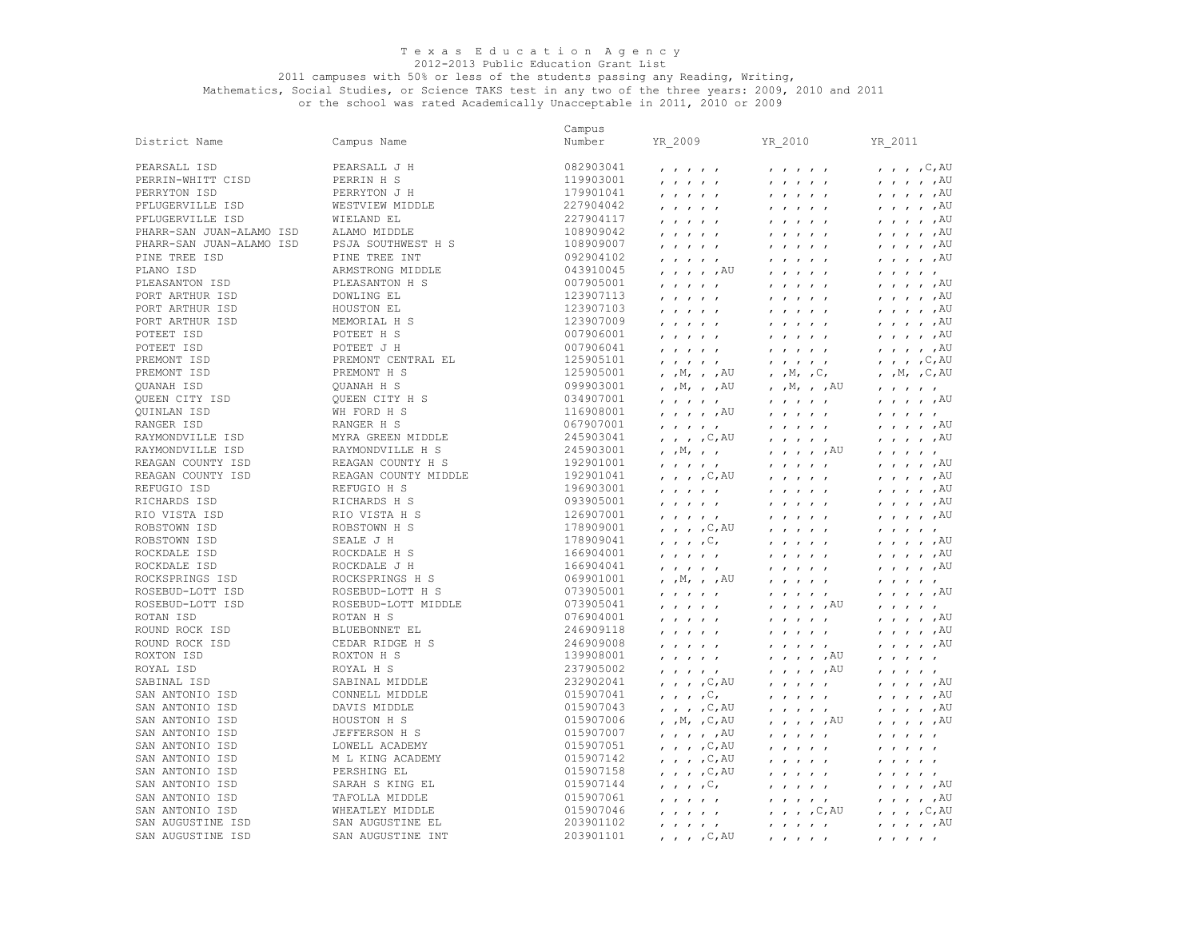#### 2012-2013 Public Education Grant List

#### 2011 campuses with 50% or less of the students passing any Reading, Writing,

Mathematics, Social Studies, or Science TAKS test in any two of the three years: 2009, 2010 and 2011 or the school was rated Academically Unacceptable in 2011, 2010 or 2009

 PFLUGERVILLE ISD PHARR-SAN JUAN-ALAMO ISD PSJA SOUTHWEST H S PINE TREE ISD **PINE TREE INT**  QUINLAN ISD RIO VISTA ISD ROBSTOWN ISD ROCKDALE ISD ROCKDALE ISD ROCKSPRINGS ISD ROSEBUD-LOTT ISD ROXTON ISD District Name PEARSALL ISD PERRIN-WHITT CISD PERRYTON ISD PFLUGERVILLE ISD PHARR-SAN JUAN-ALAMO ISD ALAMO MIDDLE PLANO ISD PLEASANTON ISD PORT ARTHUR ISD PORT ARTHUR ISD PORT ARTHUR ISD POTEET ISD POTEET ISD PREMONT ISD PREMONT ISD QUANAH ISD QUEEN CITY ISD RANGER ISD<br>RAYMONDVILLE ISD RAYMONDVILLE ISD RAYMONDVILLE ISD REAGAN COUNTY ISD REAGAN COUNTY ISD REFUGIO ISD RICHARDS ISD ROBSTOWN ISD ROSEBUD-LOTT ISD ROTAN ISD ROUND ROCK ISD ROUND ROCK ISD ROYAL ISD SABINAL ISD SAN ANTONIO ISD SAN ANTONIO ISD SAN ANTONIO ISD SAN ANTONIO ISD SAN ANTONIO ISD SAN ANTONIO ISD SAN ANTONIO ISD SAN ANTONIO ISD SAN ANTONIO ISD SAN ANTONIO ISD SAN AUGUSTINE ISD SAN AUGUSTINE ISD Campus Name PEARSALL J H PERRIN H S PERRYTON J H WESTVIEW MIDDLE WIELAND EL ARMSTRONG MIDDLE PLEASANTON H S DOWLING EL HOUSTON EL<br>MEMORTAL H S MEMORIAL H S POTEET H S POTEET J H PREMONT CENTRAL EL PREMONT H S QUANAH H S QUEEN CITY H S WH FORD H S RANGER H S<br>MYRA GREEN MIDDLE MYRA GREEN MIDDLE RAYMONDVILLE H S REAGAN COUNTY H S REAGAN COUNTY MIDDLE REFUGIO H S RICHARDS H S RIO VISTA H S ROBSTOWN H S SEALE J H ROCKDALE H S ROCKDALE J H ROCKSPRINGS H S ROSEBUD-LOTT H S ROSEBUD-LOTT MIDDLE ROTAN H S BLUEBONNET EL CEDAR RIDGE H S ROXTON H S ROYAL H S SABINAL MIDDLE CONNELL MIDDLE DAVIS MIDDLE HOUSTON H S JEFFERSON H S LOWELL ACADEMY M L KING ACADEMY PERSHING EL SARAH S KING EL TAFOLLA MIDDLE WHEATLEY MIDDLE SAN AUGUSTINE EL SAN AUGUSTINE INT Campus Number YR\_2009 YR\_2010 YR\_2011 082903041 , , , , , , , , , , , , , ,C,AU 119903001 , , , , , , , , , , , , , , ,AU 179901041 , , , , , , , , , , , , , , ,AU  $\overline{a}$ 227904117 , , , , , , , , , , , , , , ,AU 108909042 , , , , , , , , , , , , , , ,AU  $11111$  ,  $11111$ 092904102 , , , , , , , , , , , , , , ,AU 043910045 , , , , ,AU , , , , , , , , , , 007905001 , , , , , , , , , , , , , , ,AU 123907113 , , , , , , , , , , , , , , ,AU 123907103 , , , , , , , , , , , , , , ,AU 123907009 , , , , , , , , , , , , , , ,AU 007906001 , , , , , , , , , , , , , , ,AU 007906041 , , , , , , , , , , , , , , ,AU 125905101 , , , , , , , , , , , , , , , , , c, AU<br>125905001 , , M, , , AU , , M, , C, , M, , C, AU 125905001 , , M, , , AU , , M, , C,<br>099903001 , , M, , , AU , , M, , , AU 099903001 , ,M, , ,AU , ,M, , ,AU , , , , , 034907001 , , , , , , , , , , , , , , ,AU 116908001 , , , , ,AU , , , , , , , , , , 067907001 , , , , , , , , , , , , , , ,AU 245903041 , , , ,C,AU , , , , , , , , , ,AU 245903001 , ,M, , , , , , , ,AU , , , , , 192901001 , , , , , , , , , , , , , , ,AU 192901041 , , , ,C,AU , , , , , , , , , ,AU 196903001 , , , , , , , , , , , , , , ,AU 093905001 , , , , , , , , , , , , , , ,AU 126907001 , , , , , , , , , , , , , , ,AU 178909001 , , , ,C,AU , , , , , , , , , , 178909041 , , , ,C, , , , , , , , , , ,AU 166904001 , , , , , , , , , , , , , , ,AU 166904041 , , , , , , , , , , , , , , ,AU 069901001 , ,M, , ,AU , , , , , , , , , , 073905001 , , , , , , , , , , , , , , ,AU 073905041 , , , , , , , , , ,AU , , , , , 076904001 , , , , , , , , , , , , , , ,AU 246909118 , , , , , , , , , , , , , , ,AU 246909008 , , , , , , , , , , , , , , ,AU 139908001 , , , , , , , , , ,AU , , , , , 237905002 , , , , , , , , , ,AU , , , , , 232902041 , , , ,C,AU , , , , , , , , , ,AU 015907041 , , , ,C, , , , , , , , , , ,AU 015907043 , , , ,C,AU , , , , , , , , , ,AU 015907006 , ,M, ,C,AU , , , , ,AU , , , , ,AU 015907007 , , , , ,AU , , , , , , , , , , 015907051 , , , ,C,AU , , , , , , , , , ,  $\overline{C_1}$ , ,  $\overline{C_2}$  ,  $\overline{A}U$  ,  $\overline{C_1}$  ,  $\overline{C_2}$  ,  $\overline{C_3}$  ,  $\overline{C_4}$  ,  $\overline{C_5}$  ,  $\overline{C_6}$  ,  $\overline{C_7}$  ,  $\overline{C_8}$  ,  $\overline{C_8}$  ,  $\overline{C_9}$  ,  $\overline{C_9}$  ,  $\overline{C_8}$  ,  $\overline{C_9}$  ,  $\overline{C_9}$  , 015907158 , , , ,C,AU , , , , , , , , , ,  $0, \, \ldots, \, C, \, C, \, \ldots, \, \ldots, \, \ldots, \, C, \, \ldots, \, \ldots, \, C$ 015907061 , , , , , , , , , , , , , , ,AU 015907046 , , , , , , , , ,C,AU , , , ,C,AU 203901102 , , , , , , , , , , , , , , ,AU 203901101 , , , ,C,AU , , , , , , , , , ,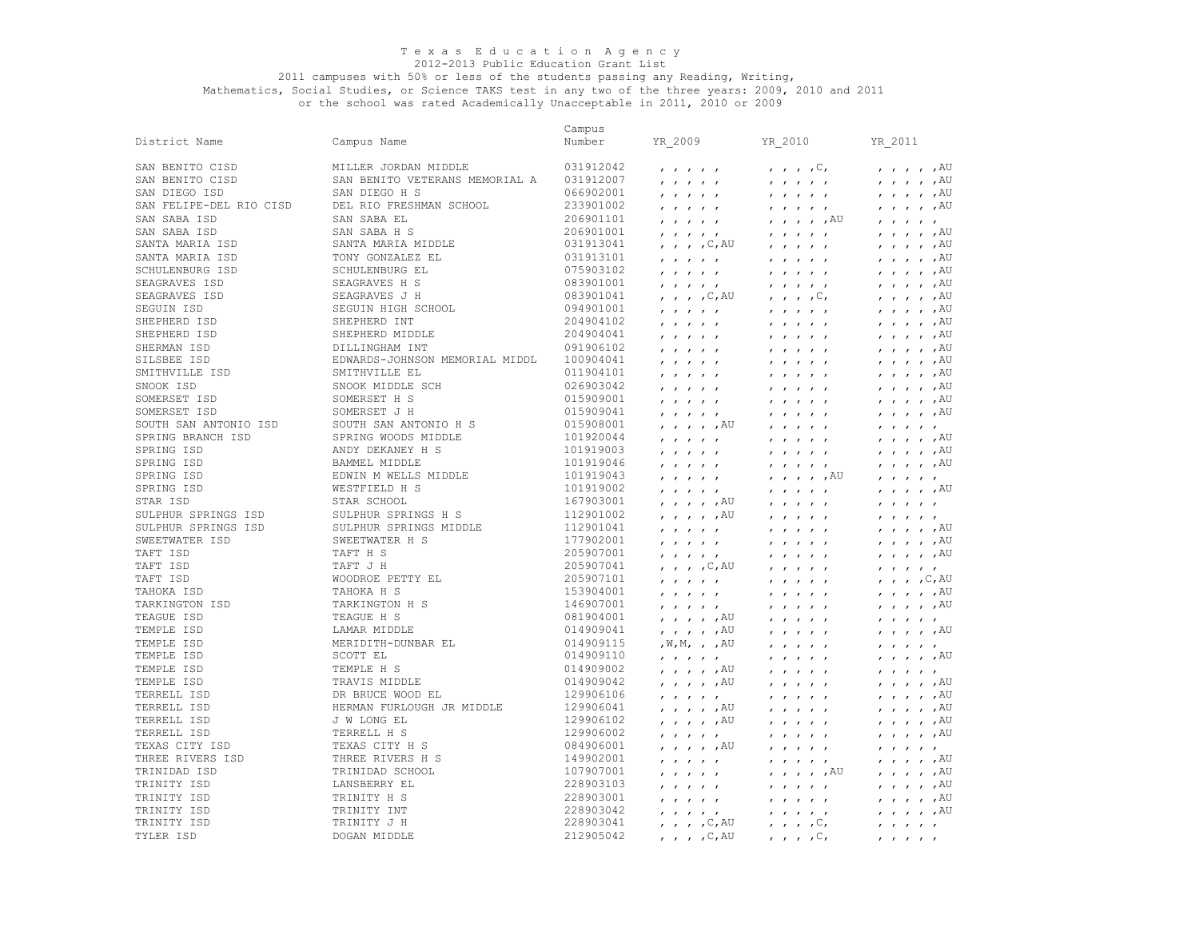## 2012-2013 Public Education Grant List

#### 2011 campuses with 50% or less of the students passing any Reading, Writing,

|                         |                                | Campus    |                                                                  |                                                                  |                                                                  |
|-------------------------|--------------------------------|-----------|------------------------------------------------------------------|------------------------------------------------------------------|------------------------------------------------------------------|
| District Name           | Campus Name                    | Number    | YR 2009                                                          | YR 2010                                                          | YR_2011                                                          |
|                         |                                |           |                                                                  |                                                                  |                                                                  |
| SAN BENITO CISD         | MILLER JORDAN MIDDLE           | 031912042 | $\mathbf{r}$ $\mathbf{r}$ $\mathbf{r}$ $\mathbf{r}$ $\mathbf{r}$ | $\mathbf{r}$ , $\mathbf{r}$ , $\mathbf{C}$ ,                     | $, , , , , , A$ U                                                |
| SAN BENITO CISD         | SAN BENITO VETERANS MEMORIAL A | 031912007 | $1$ $1$ $1$ $1$ $1$                                              | $\mathbf{r}$ $\mathbf{r}$ $\mathbf{r}$ $\mathbf{r}$ $\mathbf{r}$ | $, \, , \, , \, , \, ,$ $\mathbb{A} \mathbb{U}$                  |
| SAN DIEGO ISD           | SAN DIEGO H S                  | 066902001 | $\mathbf{r}$ $\mathbf{r}$ $\mathbf{r}$ $\mathbf{r}$ $\mathbf{r}$ | $1$ $1$ $1$ $1$ $1$                                              | $, , , , , , A$ U                                                |
| SAN FELIPE-DEL RIO CISD | DEL RIO FRESHMAN SCHOOL        | 233901002 | $\mathbf{r}$ $\mathbf{r}$ $\mathbf{r}$ $\mathbf{r}$ $\mathbf{r}$ | $\mathbf{r}$ $\mathbf{r}$ $\mathbf{r}$ $\mathbf{r}$ $\mathbf{r}$ | $\prime$ $\prime$ $\prime$ $\prime$ $\prime$ $\lambda$ U         |
| SAN SABA ISD            | SAN SABA EL                    | 206901101 | $\mathbf{r}$ $\mathbf{r}$ $\mathbf{r}$ $\mathbf{r}$ $\mathbf{r}$ | $, \, \, , \, \, , \, \, , \,$ $,$ $\mathbb{A} \mathbb{U}$       | $\mathbf{r}$ $\mathbf{r}$ $\mathbf{r}$ $\mathbf{r}$              |
| SAN SABA ISD            | SAN SABA H S                   | 206901001 | $\mathbf{r}$ $\mathbf{r}$ $\mathbf{r}$ $\mathbf{r}$              | $\mathbf{r}$ $\mathbf{r}$ $\mathbf{r}$ $\mathbf{r}$ $\mathbf{r}$ | $, , , , , , A$ U                                                |
| SANTA MARIA ISD         | SANTA MARIA MIDDLE             | 031913041 | , , , , C, AU                                                    |                                                                  | $, , , , , , A$ U                                                |
| SANTA MARIA ISD         | TONY GONZALEZ EL               | 031913101 | $\mathbf{r}$ $\mathbf{r}$ $\mathbf{r}$ $\mathbf{r}$ $\mathbf{r}$ | $1$ $1$ $1$ $1$ $1$                                              | $\prime$ $\prime$ $\prime$ $\prime$ $\prime$ $\lambda$ U         |
| SCHULENBURG ISD         | SCHULENBURG EL                 | 075903102 | $\mathbf{r}$ $\mathbf{r}$ $\mathbf{r}$ $\mathbf{r}$ $\mathbf{r}$ | $\mathbf{r}$ $\mathbf{r}$ $\mathbf{r}$ $\mathbf{r}$ $\mathbf{r}$ | $, \, , \, , \, , \, ,$ $\,$ $\mathbb{A}^{\mathbb{U}}$           |
| SEAGRAVES ISD           | SEAGRAVES H S                  | 083901001 |                                                                  |                                                                  | $, , , , , , A$ U                                                |
| SEAGRAVES ISD           | SEAGRAVES J H                  | 083901041 | $\mathbf{r}$ $\mathbf{r}$ $\mathbf{r}$ $\mathbf{r}$ $\mathbf{r}$ | $\mathbf{r}$ $\mathbf{r}$ $\mathbf{r}$ $\mathbf{r}$ $\mathbf{r}$ | , AU                                                             |
| SEGUIN ISD              | SEGUIN HIGH SCHOOL             | 094901001 | , , , , $C$ , AU                                                 | $\mathbf{r}$ , $\mathbf{r}$ , $\mathbf{r}$ , $\mathbf{r}$        | $\mathbf{r}$ $\mathbf{r}$ $\mathbf{r}$                           |
|                         |                                |           | $\mathbf{r}$ $\mathbf{r}$ $\mathbf{r}$ $\mathbf{r}$ $\mathbf{r}$ | $\mathbf{r}$ $\mathbf{r}$ $\mathbf{r}$ $\mathbf{r}$ $\mathbf{r}$ | $, , , , , , A$ U                                                |
| SHEPHERD ISD            | SHEPHERD INT                   | 204904102 | $\mathbf{r}$ $\mathbf{r}$ $\mathbf{r}$ $\mathbf{r}$ $\mathbf{r}$ | $1$ $1$ $1$ $1$ $1$                                              | $, , , , , , A$ U                                                |
| SHEPHERD ISD            | SHEPHERD MIDDLE                | 204904041 | $1$ $1$ $1$ $1$ $1$                                              | $\mathbf{r}$ $\mathbf{r}$ $\mathbf{r}$                           | , AU<br>$\mathbf{r}$ $\mathbf{r}$ $\mathbf{r}$                   |
| SHERMAN ISD             | DILLINGHAM INT                 | 091906102 | $\mathbf{r}$ $\mathbf{r}$ $\mathbf{r}$ $\mathbf{r}$ $\mathbf{r}$ | $\mathbf{r}$<br>$\mathbf{r}$ $\mathbf{r}$ $\mathbf{r}$           | $, , , , , , A$ U                                                |
| SILSBEE ISD             | EDWARDS-JOHNSON MEMORIAL MIDDL | 100904041 | $\mathbf{r}$ $\mathbf{r}$ $\mathbf{r}$ $\mathbf{r}$ $\mathbf{r}$ | $\mathbf{r}$ $\mathbf{r}$ $\mathbf{r}$ $\mathbf{r}$ $\mathbf{r}$ | $, , , , , , A$ U                                                |
| SMITHVILLE ISD          | SMITHVILLE EL                  | 011904101 |                                                                  | $\mathbf{r}$ $\mathbf{r}$ $\mathbf{r}$                           | , AU<br>$\mathbf{r}$ $\mathbf{r}$ $\mathbf{r}$                   |
| SNOOK ISD               | SNOOK MIDDLE SCH               | 026903042 | $\mathbf{r}$ $\mathbf{r}$ $\mathbf{r}$ $\mathbf{r}$ $\mathbf{r}$ | $\mathbf{r}$<br>$\mathbf{r}$ $\mathbf{r}$                        | $, , , , , , A$ U                                                |
| SOMERSET ISD            | SOMERSET H S                   | 015909001 | $\mathbf{r}$ $\mathbf{r}$ $\mathbf{r}$ $\mathbf{r}$ $\mathbf{r}$ | $\mathbf{r}$ $\mathbf{r}$ $\mathbf{r}$ $\mathbf{r}$ $\mathbf{r}$ | $\prime$ , $\prime$ , $\prime$ , $\text{AU}$                     |
| SOMERSET ISD            | SOMERSET J H                   | 015909041 | $\mathbf{r}$ $\mathbf{r}$ $\mathbf{r}$ $\mathbf{r}$ $\mathbf{r}$ | $\mathbf{r}$ $\mathbf{r}$ $\mathbf{r}$ $\mathbf{r}$ $\mathbf{r}$ | $, , , , , , A$ U                                                |
| SOUTH SAN ANTONIO ISD   | SOUTH SAN ANTONIO H S          | 015908001 | , , , , , AU                                                     | $\mathbf{r}$<br>$\mathbf{r}$ $\mathbf{r}$ $\mathbf{r}$           | $\mathbf{r}$ $\mathbf{r}$ $\mathbf{r}$ $\mathbf{r}$ $\mathbf{r}$ |
| SPRING BRANCH ISD       | SPRING WOODS MIDDLE            | 101920044 | $\mathbf{r}$ $\mathbf{r}$ $\mathbf{r}$ $\mathbf{r}$ $\mathbf{r}$ | $1$ $1$ $1$ $1$ $1$                                              | $, , , , , , A$ U                                                |
| SPRING ISD              | ANDY DEKANEY H S               | 101919003 | $1$ $1$ $1$ $1$ $1$                                              | $\mathbf{r}$ $\mathbf{r}$ $\mathbf{r}$ $\mathbf{r}$ $\mathbf{r}$ | , , , , , ,                                                      |
| SPRING ISD              | <b>BAMMEL MIDDLE</b>           | 101919046 | $\mathbf{r}$ $\mathbf{r}$ $\mathbf{r}$ $\mathbf{r}$ $\mathbf{r}$ | 1 1 1 1 1                                                        | $\prime$ , $\prime$ , $\prime$ , $\overline{A}U$                 |
| SPRING ISD              | EDWIN M WELLS MIDDLE           | 101919043 | $\cdot$ $\cdot$ $\cdot$ $\cdot$                                  | $, \; , \; , \; , \; , \;$                                       | $\mathbf{r}$ $\mathbf{r}$ $\mathbf{r}$ $\mathbf{r}$ $\mathbf{r}$ |
| SPRING ISD              | WESTFIELD H S                  | 101919002 | $\mathbf{r}$ $\mathbf{r}$ $\mathbf{r}$ $\mathbf{r}$ $\mathbf{r}$ | $\mathbf{r}$ $\mathbf{r}$ $\mathbf{r}$ $\mathbf{r}$ $\mathbf{r}$ | $, \; , \; , \; , \; , \;$ AU                                    |
| STAR ISD                | STAR SCHOOL                    | 167903001 | $, \, \cdot \,$ , $, \, \cdot \,$ , $\mathbb{A} \mathbb{U}$      |                                                                  |                                                                  |
| SULPHUR SPRINGS ISD     | SULPHUR SPRINGS H S            | 112901002 |                                                                  | $\mathbf{r}$ $\mathbf{r}$ $\mathbf{r}$ $\mathbf{r}$ $\mathbf{r}$ | $\mathbf{r}$ $\mathbf{r}$ $\mathbf{r}$ $\mathbf{r}$              |
|                         |                                | 112901041 | , , , , , AU                                                     | $\mathbf{r}$ $\mathbf{r}$ $\mathbf{r}$ $\mathbf{r}$ $\mathbf{r}$ | $\mathbf{r}$ $\mathbf{r}$ $\mathbf{r}$ $\mathbf{r}$              |
| SULPHUR SPRINGS ISD     | SULPHUR SPRINGS MIDDLE         |           | $\mathbf{r}$ $\mathbf{r}$ $\mathbf{r}$ $\mathbf{r}$ $\mathbf{r}$ | $\mathbf{r}$ $\mathbf{r}$ $\mathbf{r}$ $\mathbf{r}$ $\mathbf{r}$ | $, \, , \, , \, , \, ,$ $\mathbb{A} \mathbb{U}$                  |
| SWEETWATER ISD          | SWEETWATER H S                 | 177902001 | $\mathbf{r}$ $\mathbf{r}$ $\mathbf{r}$ $\mathbf{r}$ $\mathbf{r}$ | $\mathbf{r}$<br>$\mathbf{r}$ $\mathbf{r}$ $\mathbf{r}$           | $, , , , , , A$ U                                                |
| TAFT ISD                | TAFT H S                       | 205907001 | $\mathbf{r}$ $\mathbf{r}$ $\mathbf{r}$ $\mathbf{r}$ $\mathbf{r}$ | $1$ $1$ $1$ $1$ $1$                                              | $\prime$ $\prime$ $\prime$ $\prime$ $\prime$ $\lambda$ U         |
| TAFT ISD                | TAFT J H                       | 205907041 | $, \quad , \quad , \quad , \mathbb{C}, \mathbb{AU}$              | $\mathbf{r}$ $\mathbf{r}$ $\mathbf{r}$ $\mathbf{r}$ $\mathbf{r}$ | $\mathbf{r}$ $\mathbf{r}$ $\mathbf{r}$ $\mathbf{r}$              |
| TAFT ISD                | WOODROE PETTY EL               | 205907101 | $\mathbf{r}$ $\mathbf{r}$ $\mathbf{r}$ $\mathbf{r}$              | $\mathbf{r}$<br>$\mathbf{r}$ $\mathbf{r}$                        | $, , , , , \subset, AU$                                          |
| TAHOKA ISD              | TAHOKA H S                     | 153904001 | $\mathbf{r}$ $\mathbf{r}$ $\mathbf{r}$ $\mathbf{r}$ $\mathbf{r}$ | $1$ $1$ $1$ $1$ $1$                                              | $\prime$ , $\prime$ , $\prime$ , $\overline{A}U$                 |
| TARKINGTON ISD          | TARKINGTON H S                 | 146907001 | $\mathbf{r}$ $\mathbf{r}$ $\mathbf{r}$ $\mathbf{r}$ $\mathbf{r}$ | $\mathbf{r}$ $\mathbf{r}$ $\mathbf{r}$ $\mathbf{r}$ $\mathbf{r}$ | $\prime$ , $\prime$ , $\prime$ , $\text{AU}$                     |
| TEAGUE ISD              | TEAGUE H S                     | 081904001 | $\prime$ , , , $\mu$ , $\sim$                                    | $\mathbf{r}$ $\mathbf{r}$ $\mathbf{r}$ $\mathbf{r}$ $\mathbf{r}$ | $\mathbf{r}$ $\mathbf{r}$ $\mathbf{r}$ $\mathbf{r}$ $\mathbf{r}$ |
| TEMPLE ISD              | LAMAR MIDDLE                   | 014909041 | , , , , , AU                                                     | $\mathbf{r}$ $\mathbf{r}$ $\mathbf{r}$ $\mathbf{r}$ $\mathbf{r}$ | $, \, \cdot \,$ , $, \, \text{AU}$                               |
| TEMPLE ISD              | MERIDITH-DUNBAR EL             | 014909115 | , $\texttt{W}, \texttt{M},$ , $\,$ , $\,$ AU                     | $\mathbf{r}$ $\mathbf{r}$ $\mathbf{r}$ $\mathbf{r}$ $\mathbf{r}$ | $\mathbf{r}$ $\mathbf{r}$ $\mathbf{r}$ $\mathbf{r}$ $\mathbf{r}$ |
| TEMPLE ISD              | SCOTT EL                       | 014909110 | 1 1 1 1 1                                                        | $\mathbf{r}$ $\mathbf{r}$ $\mathbf{r}$ $\mathbf{r}$ $\mathbf{r}$ | $, , , , , , A$ U                                                |
| TEMPLE ISD              | TEMPLE H S                     | 014909002 | $, \, , \, , \, , \, ,$ $\mathbb{A} \mathbb{U}$                  | $\mathbf{r}$ $\mathbf{r}$ $\mathbf{r}$ $\mathbf{r}$ $\mathbf{r}$ | $\mathbf{r}$ $\mathbf{r}$ $\mathbf{r}$ $\mathbf{r}$              |
| TEMPLE ISD              | TRAVIS MIDDLE                  | 014909042 | , , , , , AU                                                     | $\mathbf{r}$<br>$\mathbf{r}$ $\mathbf{r}$                        | $, \, , \, , \, , \, ,$ $\mathbb{A} \mathbb{U}$                  |
| TERRELL ISD             | DR BRUCE WOOD EL               | 129906106 | $\mathbf{r}$ $\mathbf{r}$ $\mathbf{r}$ $\mathbf{r}$ $\mathbf{r}$ | $\mathbf{r}$ $\mathbf{r}$ $\mathbf{r}$ $\mathbf{r}$ $\mathbf{r}$ | , , , , , ,                                                      |
| TERRELL ISD             | HERMAN FURLOUGH JR MIDDLE      | 129906041 | , , , , , AU                                                     | $\mathbf{r}$ $\mathbf{r}$ $\mathbf{r}$ $\mathbf{r}$ $\mathbf{r}$ | $, , , , , , A$ U                                                |
| TERRELL ISD             | J W LONG EL                    | 129906102 | $, \, , \, , \, , \, ,$ $\mathbb{A} \mathbb{U}$                  |                                                                  | , AU<br>$\mathbf{r}$ $\mathbf{r}$ $\mathbf{r}$                   |
| TERRELL ISD             | TERRELL H S                    | 129906002 |                                                                  | $\mathbf{r}$ , $\mathbf{r}$ , $\mathbf{r}$ , $\mathbf{r}$        | $\prime$ , $\prime$ , $\prime$ , $\overline{A}U$                 |
| TEXAS CITY ISD          | TEXAS CITY H S                 | 084906001 | $\mathbf{r}$ $\mathbf{r}$ $\mathbf{r}$ $\mathbf{r}$ $\mathbf{r}$ | $\mathbf{r}$<br>$\mathbf{r}$ $\mathbf{r}$ $\mathbf{r}$           |                                                                  |
|                         |                                |           | , , , , , AU                                                     | $\mathbf{r}$ $\mathbf{r}$ $\mathbf{r}$ $\mathbf{r}$ $\mathbf{r}$ | $\mathbf{r}$ $\mathbf{r}$ $\mathbf{r}$ $\mathbf{r}$              |
| THREE RIVERS ISD        | THREE RIVERS H S               | 149902001 | $\mathbf{r}$ $\mathbf{r}$ $\mathbf{r}$ $\mathbf{r}$ $\mathbf{r}$ | $\mathbf{r}$ $\mathbf{r}$ $\mathbf{r}$ $\mathbf{r}$ $\mathbf{r}$ | $, \, , \, , \, , \, ,$ $\mathbb{A} \mathbb{U}$                  |
| TRINIDAD ISD            | TRINIDAD SCHOOL                | 107907001 | $\mathbf{r}$ $\mathbf{r}$ $\mathbf{r}$ $\mathbf{r}$ $\mathbf{r}$ | , , , , , AU                                                     | $\prime$ , $\prime$ , $\prime$ , $\overline{A}U$                 |
| TRINITY ISD             | LANSBERRY EL                   | 228903103 | $\mathbf{r}$ $\mathbf{r}$ $\mathbf{r}$ $\mathbf{r}$ $\mathbf{r}$ | $\mathbf{r}$ $\mathbf{r}$ $\mathbf{r}$ $\mathbf{r}$ $\mathbf{r}$ | $\prime$ $\prime$ $\prime$ $\prime$ $\prime$ $\lambda$ U         |
| TRINITY ISD             | TRINITY H S                    | 228903001 | $\mathbf{r}$ $\mathbf{r}$ $\mathbf{r}$ $\mathbf{r}$ $\mathbf{r}$ | $\mathbf{r}$ $\mathbf{r}$                                        | , AU<br>$\mathbf{r}$ $\mathbf{r}$ $\mathbf{r}$                   |
| TRINITY ISD             | TRINITY INT                    | 228903042 | $\mathbf{r}$ $\mathbf{r}$ $\mathbf{r}$ $\mathbf{r}$ $\mathbf{r}$ | $\mathbf{r}$<br>$\mathbf{r}$ $\mathbf{r}$ $\mathbf{r}$           | $\prime$ , $\prime$ , $\prime$ , $\overline{A}U$                 |
| TRINITY ISD             | TRINITY J H                    | 228903041 | , , , , C, AU                                                    | $\, \cdot \,$ , , , $\, \mathbb{C}$ ,                            | $\mathbf{r}$ $\mathbf{r}$ $\mathbf{r}$ $\mathbf{r}$ $\mathbf{r}$ |
| TYLER ISD               | DOGAN MIDDLE                   | 212905042 | $\prime$ , $\prime$ , $\circ$ , $\circ$                          | $\mathbf{r}$ , $\mathbf{r}$ , $\mathbf{r}$ , $\mathbf{r}$        |                                                                  |